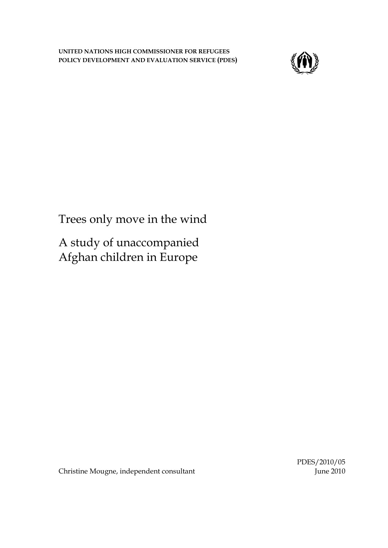**UNITED NATIONS HIGH COMMISSIONER FOR REFUGEES POLICY DEVELOPMENT AND EVALUATION SERVICE (PDES)** 



Trees only move in the wind

A study of unaccompanied Afghan children in Europe

Christine Mougne, independent consultant

PDES/2010/05 June 2010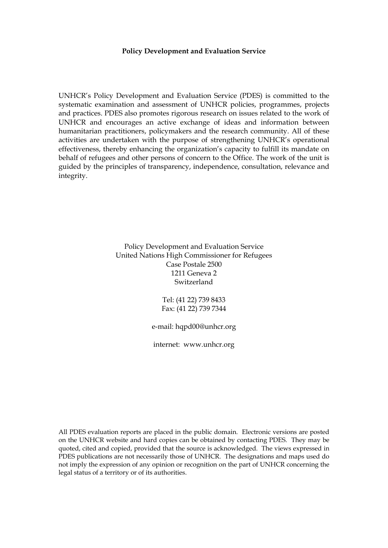#### **Policy Development and Evaluation Service**

UNHCR's Policy Development and Evaluation Service (PDES) is committed to the systematic examination and assessment of UNHCR policies, programmes, projects and practices. PDES also promotes rigorous research on issues related to the work of UNHCR and encourages an active exchange of ideas and information between humanitarian practitioners, policymakers and the research community. All of these activities are undertaken with the purpose of strengthening UNHCR's operational effectiveness, thereby enhancing the organization's capacity to fulfill its mandate on behalf of refugees and other persons of concern to the Office. The work of the unit is guided by the principles of transparency, independence, consultation, relevance and integrity.

> Policy Development and Evaluation Service United Nations High Commissioner for Refugees Case Postale 2500 1211 Geneva 2 Switzerland

> > Tel: (41 22) 739 8433 Fax: (41 22) 739 7344

e-mail: hqpd00@unhcr.org

internet: www.unhcr.org

All PDES evaluation reports are placed in the public domain. Electronic versions are posted on the UNHCR website and hard copies can be obtained by contacting PDES. They may be quoted, cited and copied, provided that the source is acknowledged. The views expressed in PDES publications are not necessarily those of UNHCR. The designations and maps used do not imply the expression of any opinion or recognition on the part of UNHCR concerning the legal status of a territory or of its authorities.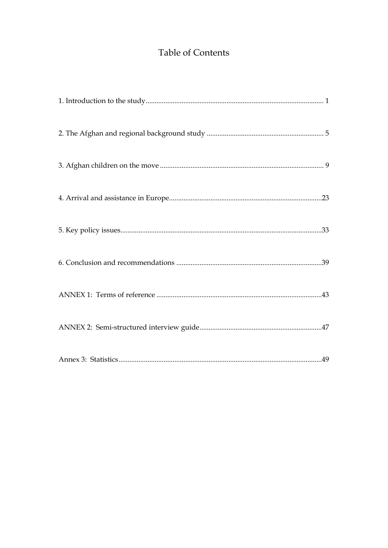# Table of Contents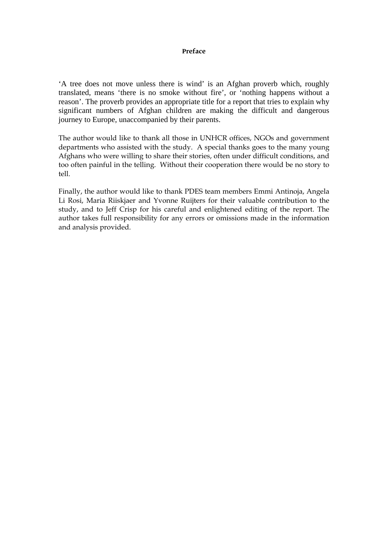#### **Preface**

'A tree does not move unless there is wind' is an Afghan proverb which, roughly translated, means 'there is no smoke without fire', or 'nothing happens without a reason'. The proverb provides an appropriate title for a report that tries to explain why significant numbers of Afghan children are making the difficult and dangerous journey to Europe, unaccompanied by their parents.

The author would like to thank all those in UNHCR offices, NGOs and government departments who assisted with the study. A special thanks goes to the many young Afghans who were willing to share their stories, often under difficult conditions, and too often painful in the telling. Without their cooperation there would be no story to tell.

Finally, the author would like to thank PDES team members Emmi Antinoja, Angela Li Rosi, Maria Riiskjaer and Yvonne Ruijters for their valuable contribution to the study, and to Jeff Crisp for his careful and enlightened editing of the report. The author takes full responsibility for any errors or omissions made in the information and analysis provided.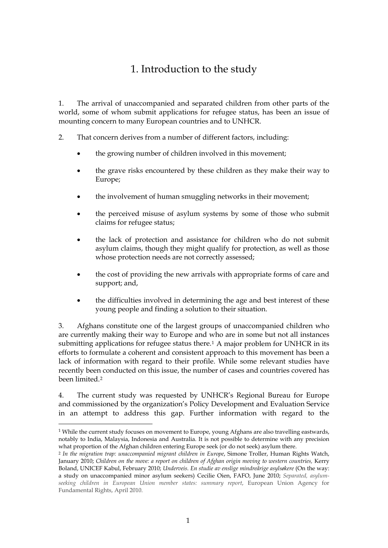# 1. Introduction to the study

<span id="page-4-0"></span>1. The arrival of unaccompanied and separated children from other parts of the world, some of whom submit applications for refugee status, has been an issue of mounting concern to many European countries and to UNHCR.

- 2. That concern derives from a number of different factors, including:
	- the growing number of children involved in this movement;
	- the grave risks encountered by these children as they make their way to Europe;
	- the involvement of human smuggling networks in their movement;
	- the perceived misuse of asylum systems by some of those who submit claims for refugee status;
	- the lack of protection and assistance for children who do not submit asylum claims, though they might qualify for protection, as well as those whose protection needs are not correctly assessed;
	- the cost of providing the new arrivals with appropriate forms of care and support; and,
	- the difficulties involved in determining the age and best interest of these young people and finding a solution to their situation.

3. Afghans constitute one of the largest groups of unaccompanied children who are currently making their way to Europe and who are in some but not all instances submitting applications for refugee status there.[1](#page-4-1) A major problem for UNHCR in its efforts to formulate a coherent and consistent approach to this movement has been a lack of information with regard to their profile. While some relevant studies have recently been conducted on this issue, the number of cases and countries covered has been limited.[2](#page-4-2)

4. The current study was requested by UNHCR's Regional Bureau for Europe and commissioned by the organization's Policy Development and Evaluation Service in an attempt to address this gap. Further information with regard to the

 $\overline{a}$ 

<span id="page-4-1"></span> $1$  While the current study focuses on movement to Europe, young Afghans are also travelling eastwards, notably to India, Malaysia, Indonesia and Australia. It is not possible to determine with any precision what proportion of the Afghan children entering Europe seek (or do not seek) asylum there.

<span id="page-4-2"></span><sup>2</sup> *In the migration trap: unaccompanied migrant children in Europe*, Simone Troller, Human Rights Watch, January 2010; *Children on the move: a report on children of Afghan origin moving to western countries,* Kerry Boland, UNICEF Kabul, February 2010; *Underveis. En studie av enslige mindreårige asylsøkere* (On the way: a study on unaccompanied minor asylum seekers) Cecilie Oien, FAFO, June 2010; *Separated, asylumseeking children in European Union member states: summary report*, European Union Agency for Fundamental Rights, April 2010.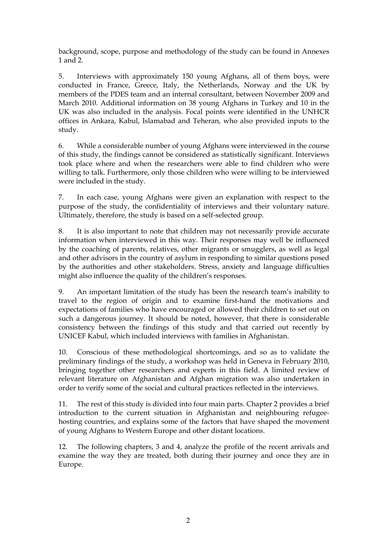background, scope, purpose and methodology of the study can be found in Annexes 1 and 2.

5. Interviews with approximately 150 young Afghans, all of them boys, were conducted in France, Greece, Italy, the Netherlands, Norway and the UK by members of the PDES team and an internal consultant, between November 2009 and March 2010. Additional information on 38 young Afghans in Turkey and 10 in the UK was also included in the analysis. Focal points were identified in the UNHCR offices in Ankara, Kabul, Islamabad and Teheran, who also provided inputs to the study.

6. While a considerable number of young Afghans were interviewed in the course of this study, the findings cannot be considered as statistically significant. Interviews took place where and when the researchers were able to find children who were willing to talk. Furthermore, only those children who were willing to be interviewed were included in the study.

7. In each case, young Afghans were given an explanation with respect to the purpose of the study, the confidentiality of interviews and their voluntary nature. Ultimately, therefore, the study is based on a self-selected group.

8. It is also important to note that children may not necessarily provide accurate information when interviewed in this way. Their responses may well be influenced by the coaching of parents, relatives, other migrants or smugglers, as well as legal and other advisors in the country of asylum in responding to similar questions posed by the authorities and other stakeholders. Stress, anxiety and language difficulties might also influence the quality of the children's responses.

9. An important limitation of the study has been the research team's inability to travel to the region of origin and to examine first-hand the motivations and expectations of families who have encouraged or allowed their children to set out on such a dangerous journey. It should be noted, however, that there is considerable consistency between the findings of this study and that carried out recently by UNICEF Kabul, which included interviews with families in Afghanistan.

10. Conscious of these methodological shortcomings, and so as to validate the preliminary findings of the study, a workshop was held in Geneva in February 2010, bringing together other researchers and experts in this field. A limited review of relevant literature on Afghanistan and Afghan migration was also undertaken in order to verify some of the social and cultural practices reflected in the interviews.

11. The rest of this study is divided into four main parts. Chapter 2 provides a brief introduction to the current situation in Afghanistan and neighbouring refugeehosting countries, and explains some of the factors that have shaped the movement of young Afghans to Western Europe and other distant locations.

12. The following chapters, 3 and 4, analyze the profile of the recent arrivals and examine the way they are treated, both during their journey and once they are in Europe.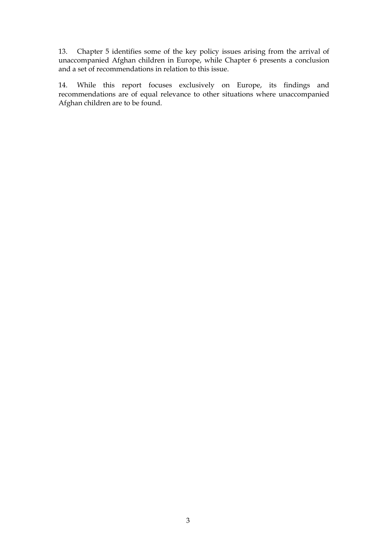13. Chapter 5 identifies some of the key policy issues arising from the arrival of unaccompanied Afghan children in Europe, while Chapter 6 presents a conclusion and a set of recommendations in relation to this issue.

14. While this report focuses exclusively on Europe, its findings and recommendations are of equal relevance to other situations where unaccompanied Afghan children are to be found.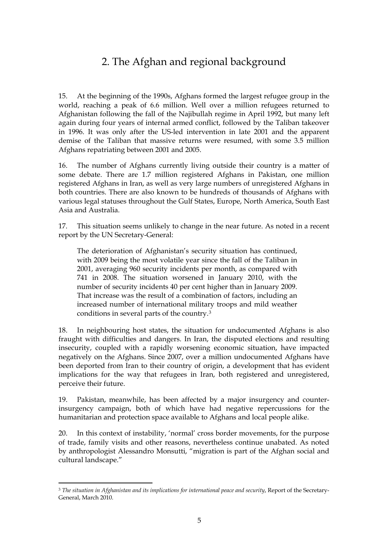# 2. The Afghan and regional background

<span id="page-8-0"></span>15. At the beginning of the 1990s, Afghans formed the largest refugee group in the world, reaching a peak of 6.6 million. Well over a million refugees returned to Afghanistan following the fall of the Najibullah regime in April 1992, but many left again during four years of internal armed conflict, followed by the Taliban takeover in 1996. It was only after the US-led intervention in late 2001 and the apparent demise of the Taliban that massive returns were resumed, with some 3.5 million Afghans repatriating between 2001 and 2005.

16. The number of Afghans currently living outside their country is a matter of some debate. There are 1.7 million registered Afghans in Pakistan, one million registered Afghans in Iran, as well as very large numbers of unregistered Afghans in both countries. There are also known to be hundreds of thousands of Afghans with various legal statuses throughout the Gulf States, Europe, North America, South East Asia and Australia.

17. This situation seems unlikely to change in the near future. As noted in a recent report by the UN Secretary-General:

The deterioration of Afghanistan's security situation has continued, with 2009 being the most volatile year since the fall of the Taliban in 2001, averaging 960 security incidents per month, as compared with 741 in 2008. The situation worsened in January 2010, with the number of security incidents 40 per cent higher than in January 2009. That increase was the result of a combination of factors, including an increased number of international military troops and mild weather conditions in several parts of the country.[3](#page-8-1)

18. In neighbouring host states, the situation for undocumented Afghans is also fraught with difficulties and dangers. In Iran, the disputed elections and resulting insecurity, coupled with a rapidly worsening economic situation, have impacted negatively on the Afghans. Since 2007, over a million undocumented Afghans have been deported from Iran to their country of origin, a development that has evident implications for the way that refugees in Iran, both registered and unregistered, perceive their future.

19. Pakistan, meanwhile, has been affected by a major insurgency and counterinsurgency campaign, both of which have had negative repercussions for the humanitarian and protection space available to Afghans and local people alike.

20. In this context of instability, 'normal' cross border movements, for the purpose of trade, family visits and other reasons, nevertheless continue unabated. As noted by anthropologist Alessandro Monsutti, "migration is part of the Afghan social and cultural landscape."

 $\overline{a}$ 

<span id="page-8-1"></span><sup>3</sup> *The situation in Afghanistan and its implications for international peace and security*, Report of the Secretary-General, March 2010.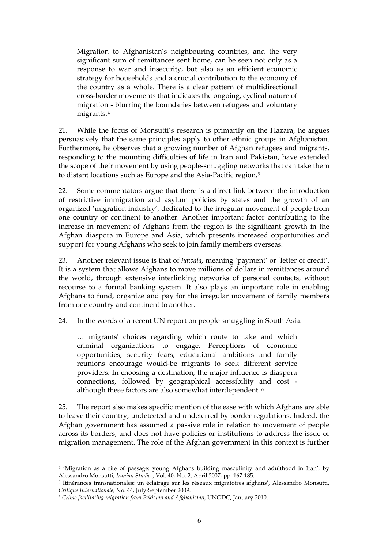Migration to Afghanistan's neighbouring countries, and the very significant sum of remittances sent home, can be seen not only as a response to war and insecurity, but also as an efficient economic strategy for households and a crucial contribution to the economy of the country as a whole. There is a clear pattern of multidirectional cross-border movements that indicates the ongoing, cyclical nature of migration - blurring the boundaries between refugees and voluntary migrants.[4](#page-9-0)

21. While the focus of Monsutti's research is primarily on the Hazara, he argues persuasively that the same principles apply to other ethnic groups in Afghanistan. Furthermore, he observes that a growing number of Afghan refugees and migrants, responding to the mounting difficulties of life in Iran and Pakistan, have extended the scope of their movement by using people-smuggling networks that can take them to distant locations such as Europe and the Asia-Pacific region.[5](#page-9-1)

22. Some commentators argue that there is a direct link between the introduction of restrictive immigration and asylum policies by states and the growth of an organized 'migration industry', dedicated to the irregular movement of people from one country or continent to another. Another important factor contributing to the increase in movement of Afghans from the region is the significant growth in the Afghan diaspora in Europe and Asia, which presents increased opportunities and support for young Afghans who seek to join family members overseas.

23. Another relevant issue is that of *hawala,* meaning 'payment' or 'letter of credit'. It is a system that allows Afghans to move millions of dollars in remittances around the world, through extensive interlinking networks of personal contacts, without recourse to a formal banking system. It also plays an important role in enabling Afghans to fund, organize and pay for the irregular movement of family members from one country and continent to another.

24. In the words of a recent UN report on people smuggling in South Asia:

… migrants' choices regarding which route to take and which criminal organizations to engage. Perceptions of economic opportunities, security fears, educational ambitions and family reunions encourage would-be migrants to seek different service providers. In choosing a destination, the major influence is diaspora connections, followed by geographical accessibility and cost although these factors are also somewhat interdependent. [6](#page-9-2)

25. The report also makes specific mention of the ease with which Afghans are able to leave their country, undetected and undeterred by border regulations. Indeed, the Afghan government has assumed a passive role in relation to movement of people across its borders, and does not have policies or institutions to address the issue of migration management. The role of the Afghan government in this context is further

 $\overline{a}$ 

<span id="page-9-0"></span><sup>4 &#</sup>x27;Migration as a rite of passage: young Afghans building masculinity and adulthood in Iran'*,* by Alessandro Monsutti, *Iranian Studies*, Vol. 40, No. 2, April 2007, pp. 167-185.

<span id="page-9-1"></span><sup>5</sup> Itinérances transnationales: un éclairage sur les réseaux migratoires afghans', Alessandro Monsutti, *Critique Internationale,* No. 44, July-September 2009.

<span id="page-9-2"></span><sup>6</sup> *Crime facilitating migration from Pakistan and Afghanistan*, UNODC, January 2010.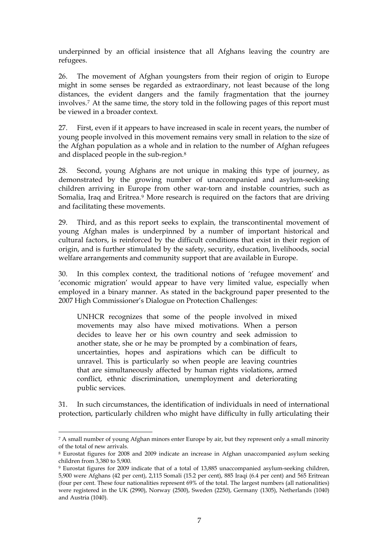underpinned by an official insistence that all Afghans leaving the country are refugees.

26. The movement of Afghan youngsters from their region of origin to Europe might in some senses be regarded as extraordinary, not least because of the long distances, the evident dangers and the family fragmentation that the journey involves.[7](#page-10-0) At the same time, the story told in the following pages of this report must be viewed in a broader context.

27. First, even if it appears to have increased in scale in recent years, the number of young people involved in this movement remains very small in relation to the size of the Afghan population as a whole and in relation to the number of Afghan refugees and displaced people in the sub-region[.8](#page-10-1)

28. Second, young Afghans are not unique in making this type of journey, as demonstrated by the growing number of unaccompanied and asylum-seeking children arriving in Europe from other war-torn and instable countries, such as Somalia, Iraq and Eritrea.<sup>[9](#page-10-2)</sup> More research is required on the factors that are driving and facilitating these movements.

29. Third, and as this report seeks to explain, the transcontinental movement of young Afghan males is underpinned by a number of important historical and cultural factors, is reinforced by the difficult conditions that exist in their region of origin, and is further stimulated by the safety, security, education, livelihoods, social welfare arrangements and community support that are available in Europe.

30. In this complex context, the traditional notions of 'refugee movement' and 'economic migration' would appear to have very limited value, especially when employed in a binary manner. As stated in the background paper presented to the 2007 High Commissioner's Dialogue on Protection Challenges:

UNHCR recognizes that some of the people involved in mixed movements may also have mixed motivations. When a person decides to leave her or his own country and seek admission to another state, she or he may be prompted by a combination of fears, uncertainties, hopes and aspirations which can be difficult to unravel. This is particularly so when people are leaving countries that are simultaneously affected by human rights violations, armed conflict, ethnic discrimination, unemployment and deteriorating public services.

31. In such circumstances, the identification of individuals in need of international protection, particularly children who might have difficulty in fully articulating their

<span id="page-10-0"></span> $\overline{a}$ 7 A small number of young Afghan minors enter Europe by air, but they represent only a small minority of the total of new arrivals.

<span id="page-10-1"></span><sup>8</sup> Eurostat figures for 2008 and 2009 indicate an increase in Afghan unaccompanied asylum seeking children from 3,380 to 5,900.

<span id="page-10-2"></span><sup>9</sup> Eurostat figures for 2009 indicate that of a total of 13,885 unaccompanied asylum-seeking children, 5,900 were Afghans (42 per cent), 2,115 Somali (15.2 per cent), 885 Iraqi (6.4 per cent) and 565 Eritrean (four per cent. These four nationalities represent 69% of the total. The largest numbers (all nationalities) were registered in the UK (2990), Norway (2500), Sweden (2250), Germany (1305), Netherlands (1040) and Austria (1040).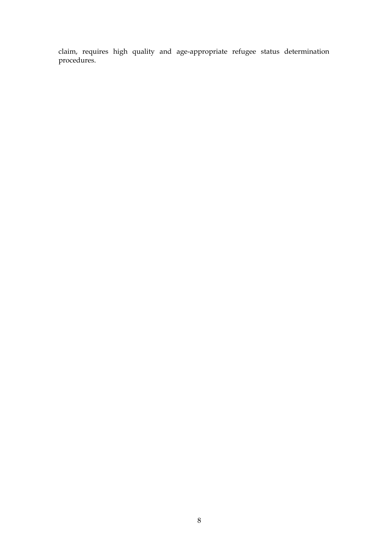claim, requires high quality and age-appropriate refugee status determination procedures.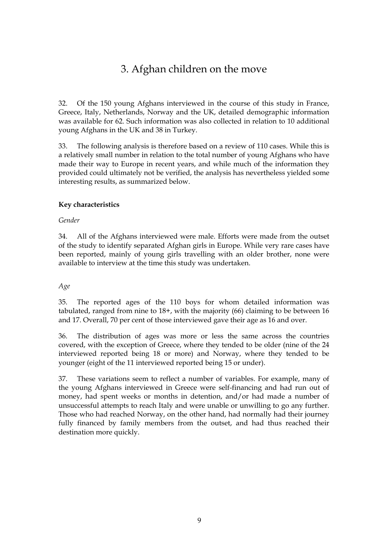# 3. Afghan children on the move

<span id="page-12-0"></span>32. Of the 150 young Afghans interviewed in the course of this study in France, Greece, Italy, Netherlands, Norway and the UK, detailed demographic information was available for 62. Such information was also collected in relation to 10 additional young Afghans in the UK and 38 in Turkey.

33. The following analysis is therefore based on a review of 110 cases. While this is a relatively small number in relation to the total number of young Afghans who have made their way to Europe in recent years, and while much of the information they provided could ultimately not be verified, the analysis has nevertheless yielded some interesting results, as summarized below.

# **Key characteristics**

## *Gender*

34. All of the Afghans interviewed were male. Efforts were made from the outset of the study to identify separated Afghan girls in Europe. While very rare cases have been reported, mainly of young girls travelling with an older brother, none were available to interview at the time this study was undertaken.

# *Age*

35. The reported ages of the 110 boys for whom detailed information was tabulated, ranged from nine to 18+, with the majority (66) claiming to be between 16 and 17. Overall, 70 per cent of those interviewed gave their age as 16 and over.

36. The distribution of ages was more or less the same across the countries covered, with the exception of Greece, where they tended to be older (nine of the 24 interviewed reported being 18 or more) and Norway, where they tended to be younger (eight of the 11 interviewed reported being 15 or under).

37. These variations seem to reflect a number of variables. For example, many of the young Afghans interviewed in Greece were self-financing and had run out of money, had spent weeks or months in detention, and/or had made a number of unsuccessful attempts to reach Italy and were unable or unwilling to go any further. Those who had reached Norway, on the other hand, had normally had their journey fully financed by family members from the outset, and had thus reached their destination more quickly.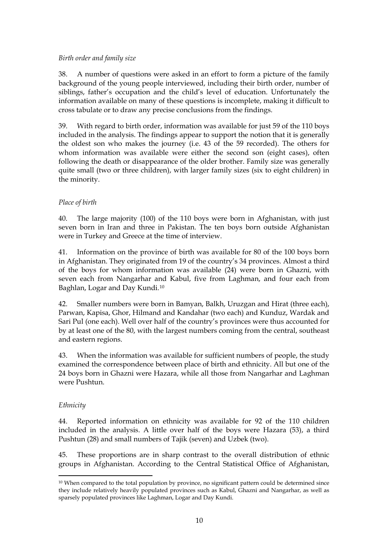## *Birth order and family size*

38. A number of questions were asked in an effort to form a picture of the family background of the young people interviewed, including their birth order, number of siblings, father's occupation and the child's level of education. Unfortunately the information available on many of these questions is incomplete, making it difficult to cross tabulate or to draw any precise conclusions from the findings.

39. With regard to birth order, information was available for just 59 of the 110 boys included in the analysis. The findings appear to support the notion that it is generally the oldest son who makes the journey (i.e. 43 of the 59 recorded). The others for whom information was available were either the second son (eight cases), often following the death or disappearance of the older brother. Family size was generally quite small (two or three children), with larger family sizes (six to eight children) in the minority.

# *Place of birth*

40. The large majority (100) of the 110 boys were born in Afghanistan, with just seven born in Iran and three in Pakistan. The ten boys born outside Afghanistan were in Turkey and Greece at the time of interview.

41. Information on the province of birth was available for 80 of the 100 boys born in Afghanistan. They originated from 19 of the country's 34 provinces. Almost a third of the boys for whom information was available (24) were born in Ghazni, with seven each from Nangarhar and Kabul, five from Laghman, and four each from Baghlan, Logar and Day Kundi.[10](#page-13-0)

42. Smaller numbers were born in Bamyan, Balkh, Uruzgan and Hirat (three each), Parwan, Kapisa, Ghor, Hilmand and Kandahar (two each) and Kunduz, Wardak and Sari Pul (one each). Well over half of the country's provinces were thus accounted for by at least one of the 80, with the largest numbers coming from the central, southeast and eastern regions.

43. When the information was available for sufficient numbers of people, the study examined the correspondence between place of birth and ethnicity. All but one of the 24 boys born in Ghazni were Hazara, while all those from Nangarhar and Laghman were Pushtun.

### *Ethnicity*

 $\overline{a}$ 

44. Reported information on ethnicity was available for 92 of the 110 children included in the analysis. A little over half of the boys were Hazara (53), a third Pushtun (28) and small numbers of Tajik (seven) and Uzbek (two).

45. These proportions are in sharp contrast to the overall distribution of ethnic groups in Afghanistan. According to the Central Statistical Office of Afghanistan,

<span id="page-13-0"></span><sup>10</sup> When compared to the total population by province, no significant pattern could be determined since they include relatively heavily populated provinces such as Kabul, Ghazni and Nangarhar, as well as sparsely populated provinces like Laghman, Logar and Day Kundi.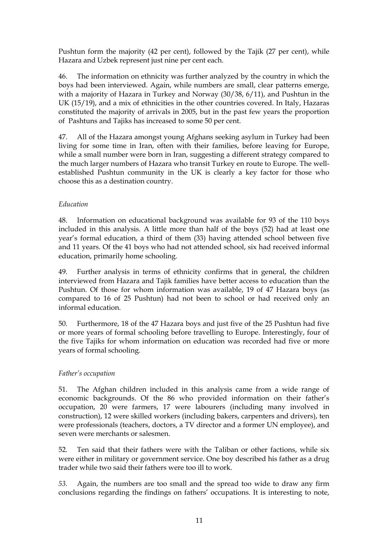Pushtun form the majority (42 per cent), followed by the Tajik (27 per cent), while Hazara and Uzbek represent just nine per cent each.

46. The information on ethnicity was further analyzed by the country in which the boys had been interviewed. Again, while numbers are small, clear patterns emerge, with a majority of Hazara in Turkey and Norway (30/38, 6/11), and Pushtun in the UK (15/19), and a mix of ethnicities in the other countries covered. In Italy, Hazaras constituted the majority of arrivals in 2005, but in the past few years the proportion of Pashtuns and Tajiks has increased to some 50 per cent.

47. All of the Hazara amongst young Afghans seeking asylum in Turkey had been living for some time in Iran, often with their families, before leaving for Europe, while a small number were born in Iran, suggesting a different strategy compared to the much larger numbers of Hazara who transit Turkey en route to Europe. The wellestablished Pushtun community in the UK is clearly a key factor for those who choose this as a destination country.

# *Education*

48. Information on educational background was available for 93 of the 110 boys included in this analysis. A little more than half of the boys (52) had at least one year's formal education, a third of them (33) having attended school between five and 11 years. Of the 41 boys who had not attended school, six had received informal education, primarily home schooling.

49. Further analysis in terms of ethnicity confirms that in general, the children interviewed from Hazara and Tajik families have better access to education than the Pushtun. Of those for whom information was available, 19 of 47 Hazara boys (as compared to 16 of 25 Pushtun) had not been to school or had received only an informal education.

50. Furthermore, 18 of the 47 Hazara boys and just five of the 25 Pushtun had five or more years of formal schooling before travelling to Europe. Interestingly, four of the five Tajiks for whom information on education was recorded had five or more years of formal schooling.

# *Father's occupation*

51. The Afghan children included in this analysis came from a wide range of economic backgrounds. Of the 86 who provided information on their father's occupation, 20 were farmers, 17 were labourers (including many involved in construction), 12 were skilled workers (including bakers, carpenters and drivers), ten were professionals (teachers, doctors, a TV director and a former UN employee), and seven were merchants or salesmen.

52. Ten said that their fathers were with the Taliban or other factions, while six were either in military or government service. One boy described his father as a drug trader while two said their fathers were too ill to work.

*53.* Again, the numbers are too small and the spread too wide to draw any firm conclusions regarding the findings on fathers' occupations. It is interesting to note,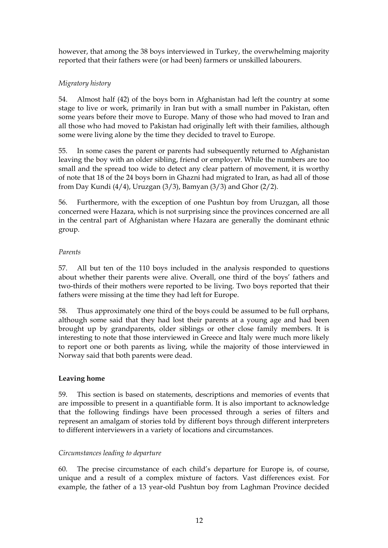however, that among the 38 boys interviewed in Turkey, the overwhelming majority reported that their fathers were (or had been) farmers or unskilled labourers.

# *Migratory history*

54. Almost half (42) of the boys born in Afghanistan had left the country at some stage to live or work, primarily in Iran but with a small number in Pakistan, often some years before their move to Europe. Many of those who had moved to Iran and all those who had moved to Pakistan had originally left with their families, although some were living alone by the time they decided to travel to Europe.

55. In some cases the parent or parents had subsequently returned to Afghanistan leaving the boy with an older sibling, friend or employer. While the numbers are too small and the spread too wide to detect any clear pattern of movement, it is worthy of note that 18 of the 24 boys born in Ghazni had migrated to Iran, as had all of those from Day Kundi (4/4), Uruzgan (3/3), Bamyan (3/3) and Ghor (2/2).

56. Furthermore, with the exception of one Pushtun boy from Uruzgan, all those concerned were Hazara, which is not surprising since the provinces concerned are all in the central part of Afghanistan where Hazara are generally the dominant ethnic group.

# *Parents*

57. All but ten of the 110 boys included in the analysis responded to questions about whether their parents were alive. Overall, one third of the boys' fathers and two-thirds of their mothers were reported to be living. Two boys reported that their fathers were missing at the time they had left for Europe.

58. Thus approximately one third of the boys could be assumed to be full orphans, although some said that they had lost their parents at a young age and had been brought up by grandparents, older siblings or other close family members. It is interesting to note that those interviewed in Greece and Italy were much more likely to report one or both parents as living, while the majority of those interviewed in Norway said that both parents were dead.

# **Leaving home**

59. This section is based on statements, descriptions and memories of events that are impossible to present in a quantifiable form. It is also important to acknowledge that the following findings have been processed through a series of filters and represent an amalgam of stories told by different boys through different interpreters to different interviewers in a variety of locations and circumstances.

### *Circumstances leading to departure*

60. The precise circumstance of each child's departure for Europe is, of course, unique and a result of a complex mixture of factors. Vast differences exist. For example, the father of a 13 year-old Pushtun boy from Laghman Province decided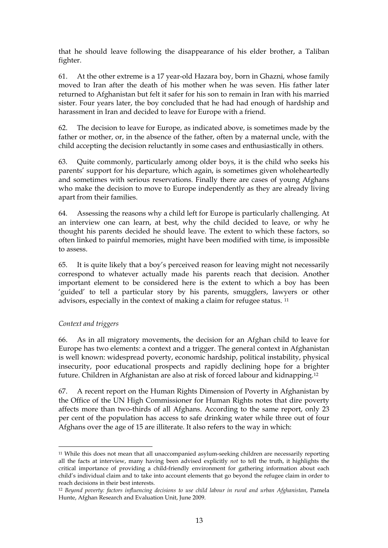that he should leave following the disappearance of his elder brother, a Taliban fighter.

61. At the other extreme is a 17 year-old Hazara boy, born in Ghazni, whose family moved to Iran after the death of his mother when he was seven. His father later returned to Afghanistan but felt it safer for his son to remain in Iran with his married sister. Four years later, the boy concluded that he had had enough of hardship and harassment in Iran and decided to leave for Europe with a friend.

62. The decision to leave for Europe, as indicated above, is sometimes made by the father or mother, or, in the absence of the father, often by a maternal uncle, with the child accepting the decision reluctantly in some cases and enthusiastically in others.

63. Quite commonly, particularly among older boys, it is the child who seeks his parents' support for his departure, which again, is sometimes given wholeheartedly and sometimes with serious reservations. Finally there are cases of young Afghans who make the decision to move to Europe independently as they are already living apart from their families.

64. Assessing the reasons why a child left for Europe is particularly challenging. At an interview one can learn, at best, why the child decided to leave, or why he thought his parents decided he should leave. The extent to which these factors, so often linked to painful memories, might have been modified with time, is impossible to assess.

65. It is quite likely that a boy's perceived reason for leaving might not necessarily correspond to whatever actually made his parents reach that decision. Another important element to be considered here is the extent to which a boy has been 'guided' to tell a particular story by his parents, smugglers, lawyers or other advisors, especially in the context of making a claim for refugee status. [11](#page-16-0)

# *Context and triggers*

 $\overline{a}$ 

66. As in all migratory movements, the decision for an Afghan child to leave for Europe has two elements: a context and a trigger. The general context in Afghanistan is well known: widespread poverty, economic hardship, political instability, physical insecurity, poor educational prospects and rapidly declining hope for a brighter future. Children in Afghanistan are also at risk of forced labour and kidnapping.[12](#page-16-1)

67. A recent report on the Human Rights Dimension of Poverty in Afghanistan by the Office of the UN High Commissioner for Human Rights notes that dire poverty affects more than two-thirds of all Afghans. According to the same report, only 23 per cent of the population has access to safe drinking water while three out of four Afghans over the age of 15 are illiterate. It also refers to the way in which:

<span id="page-16-0"></span><sup>11</sup> While this does not mean that all unaccompanied asylum-seeking children are necessarily reporting all the facts at interview, many having been advised explicitly *not* to tell the truth, it highlights the critical importance of providing a child-friendly environment for gathering information about each child's individual claim and to take into account elements that go beyond the refugee claim in order to reach decisions in their best interests.

<span id="page-16-1"></span><sup>12</sup> *Beyond poverty: factors influencing decisions to use child labour in rural and urban Afghanistan*, Pamela Hunte, Afghan Research and Evaluation Unit, June 2009.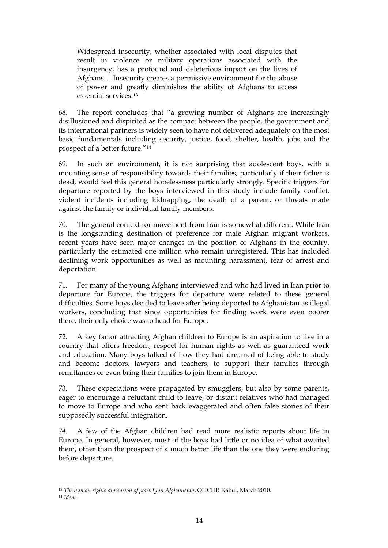Widespread insecurity, whether associated with local disputes that result in violence or military operations associated with the insurgency, has a profound and deleterious impact on the lives of Afghans… Insecurity creates a permissive environment for the abuse of power and greatly diminishes the ability of Afghans to access essential services.[13](#page-17-0)

68. The report concludes that "a growing number of Afghans are increasingly disillusioned and dispirited as the compact between the people, the government and its international partners is widely seen to have not delivered adequately on the most basic fundamentals including security, justice, food, shelter, health, jobs and the prospect of a better future."[14](#page-17-1)

69. In such an environment, it is not surprising that adolescent boys, with a mounting sense of responsibility towards their families, particularly if their father is dead, would feel this general hopelessness particularly strongly. Specific triggers for departure reported by the boys interviewed in this study include family conflict, violent incidents including kidnapping, the death of a parent, or threats made against the family or individual family members.

70. The general context for movement from Iran is somewhat different. While Iran is the longstanding destination of preference for male Afghan migrant workers, recent years have seen major changes in the position of Afghans in the country, particularly the estimated one million who remain unregistered. This has included declining work opportunities as well as mounting harassment, fear of arrest and deportation.

71. For many of the young Afghans interviewed and who had lived in Iran prior to departure for Europe, the triggers for departure were related to these general difficulties. Some boys decided to leave after being deported to Afghanistan as illegal workers, concluding that since opportunities for finding work were even poorer there, their only choice was to head for Europe.

72. A key factor attracting Afghan children to Europe is an aspiration to live in a country that offers freedom, respect for human rights as well as guaranteed work and education. Many boys talked of how they had dreamed of being able to study and become doctors, lawyers and teachers, to support their families through remittances or even bring their families to join them in Europe.

73. These expectations were propagated by smugglers, but also by some parents, eager to encourage a reluctant child to leave, or distant relatives who had managed to move to Europe and who sent back exaggerated and often false stories of their supposedly successful integration.

*74.* A few of the Afghan children had read more realistic reports about life in Europe. In general, however, most of the boys had little or no idea of what awaited them, other than the prospect of a much better life than the one they were enduring before departure.

 $\overline{a}$ 

<span id="page-17-0"></span><sup>13</sup> *The human rights dimension of poverty in Afghanistan*, OHCHR Kabul, March 2010.

<span id="page-17-1"></span><sup>14</sup> *Idem*.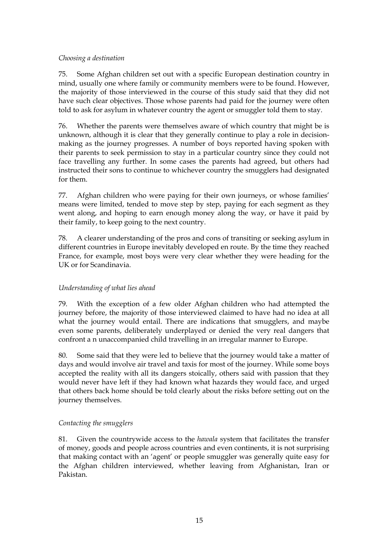## *Choosing a destination*

75. Some Afghan children set out with a specific European destination country in mind, usually one where family or community members were to be found. However, the majority of those interviewed in the course of this study said that they did not have such clear objectives. Those whose parents had paid for the journey were often told to ask for asylum in whatever country the agent or smuggler told them to stay.

76. Whether the parents were themselves aware of which country that might be is unknown, although it is clear that they generally continue to play a role in decisionmaking as the journey progresses. A number of boys reported having spoken with their parents to seek permission to stay in a particular country since they could not face travelling any further. In some cases the parents had agreed, but others had instructed their sons to continue to whichever country the smugglers had designated for them.

77. Afghan children who were paying for their own journeys, or whose families' means were limited, tended to move step by step, paying for each segment as they went along, and hoping to earn enough money along the way, or have it paid by their family, to keep going to the next country.

78. A clearer understanding of the pros and cons of transiting or seeking asylum in different countries in Europe inevitably developed en route. By the time they reached France, for example, most boys were very clear whether they were heading for the UK or for Scandinavia.

# *Understanding of what lies ahead*

79. With the exception of a few older Afghan children who had attempted the journey before, the majority of those interviewed claimed to have had no idea at all what the journey would entail. There are indications that smugglers, and maybe even some parents, deliberately underplayed or denied the very real dangers that confront a n unaccompanied child travelling in an irregular manner to Europe.

80. Some said that they were led to believe that the journey would take a matter of days and would involve air travel and taxis for most of the journey. While some boys accepted the reality with all its dangers stoically, others said with passion that they would never have left if they had known what hazards they would face, and urged that others back home should be told clearly about the risks before setting out on the journey themselves.

# *Contacting the smugglers*

81. Given the countrywide access to the *hawala* system that facilitates the transfer of money, goods and people across countries and even continents, it is not surprising that making contact with an 'agent' or people smuggler was generally quite easy for the Afghan children interviewed, whether leaving from Afghanistan, Iran or Pakistan.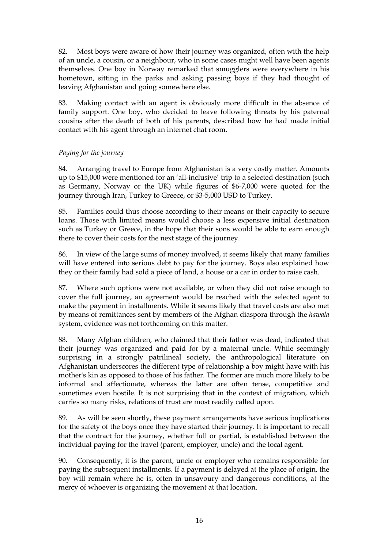82. Most boys were aware of how their journey was organized, often with the help of an uncle, a cousin, or a neighbour, who in some cases might well have been agents themselves. One boy in Norway remarked that smugglers were everywhere in his hometown, sitting in the parks and asking passing boys if they had thought of leaving Afghanistan and going somewhere else.

83. Making contact with an agent is obviously more difficult in the absence of family support. One boy, who decided to leave following threats by his paternal cousins after the death of both of his parents, described how he had made initial contact with his agent through an internet chat room.

# *Paying for the journey*

84. Arranging travel to Europe from Afghanistan is a very costly matter. Amounts up to \$15,000 were mentioned for an 'all-inclusive' trip to a selected destination (such as Germany, Norway or the UK) while figures of \$6-7,000 were quoted for the journey through Iran, Turkey to Greece, or \$3-5,000 USD to Turkey.

85. Families could thus choose according to their means or their capacity to secure loans. Those with limited means would choose a less expensive initial destination such as Turkey or Greece, in the hope that their sons would be able to earn enough there to cover their costs for the next stage of the journey.

86. In view of the large sums of money involved, it seems likely that many families will have entered into serious debt to pay for the journey. Boys also explained how they or their family had sold a piece of land, a house or a car in order to raise cash.

87. Where such options were not available, or when they did not raise enough to cover the full journey, an agreement would be reached with the selected agent to make the payment in installments. While it seems likely that travel costs are also met by means of remittances sent by members of the Afghan diaspora through the *hawala*  system, evidence was not forthcoming on this matter.

88. Many Afghan children, who claimed that their father was dead, indicated that their journey was organized and paid for by a maternal uncle. While seemingly surprising in a strongly patrilineal society, the anthropological literature on Afghanistan underscores the different type of relationship a boy might have with his mother's kin as opposed to those of his father. The former are much more likely to be informal and affectionate, whereas the latter are often tense, competitive and sometimes even hostile. It is not surprising that in the context of migration, which carries so many risks, relations of trust are most readily called upon.

89. As will be seen shortly, these payment arrangements have serious implications for the safety of the boys once they have started their journey. It is important to recall that the contract for the journey, whether full or partial, is established between the individual paying for the travel (parent, employer, uncle) and the local agent.

90. Consequently, it is the parent, uncle or employer who remains responsible for paying the subsequent installments. If a payment is delayed at the place of origin, the boy will remain where he is, often in unsavoury and dangerous conditions, at the mercy of whoever is organizing the movement at that location.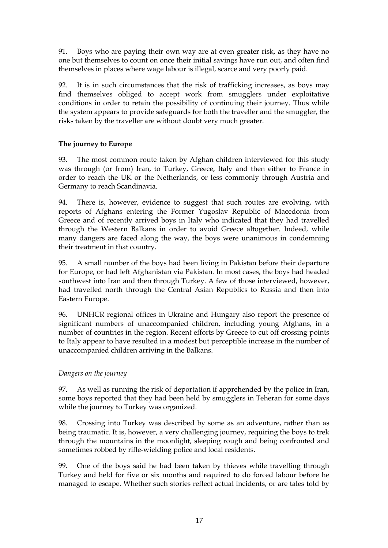91. Boys who are paying their own way are at even greater risk, as they have no one but themselves to count on once their initial savings have run out, and often find themselves in places where wage labour is illegal, scarce and very poorly paid.

92. It is in such circumstances that the risk of trafficking increases, as boys may find themselves obliged to accept work from smugglers under exploitative conditions in order to retain the possibility of continuing their journey. Thus while the system appears to provide safeguards for both the traveller and the smuggler, the risks taken by the traveller are without doubt very much greater.

# **The journey to Europe**

93. The most common route taken by Afghan children interviewed for this study was through (or from) Iran, to Turkey, Greece, Italy and then either to France in order to reach the UK or the Netherlands, or less commonly through Austria and Germany to reach Scandinavia.

94. There is, however, evidence to suggest that such routes are evolving, with reports of Afghans entering the Former Yugoslav Republic of Macedonia from Greece and of recently arrived boys in Italy who indicated that they had travelled through the Western Balkans in order to avoid Greece altogether. Indeed, while many dangers are faced along the way, the boys were unanimous in condemning their treatment in that country.

95. A small number of the boys had been living in Pakistan before their departure for Europe, or had left Afghanistan via Pakistan. In most cases, the boys had headed southwest into Iran and then through Turkey. A few of those interviewed, however, had travelled north through the Central Asian Republics to Russia and then into Eastern Europe.

96. UNHCR regional offices in Ukraine and Hungary also report the presence of significant numbers of unaccompanied children, including young Afghans, in a number of countries in the region. Recent efforts by Greece to cut off crossing points to Italy appear to have resulted in a modest but perceptible increase in the number of unaccompanied children arriving in the Balkans.

# *Dangers on the journey*

97. As well as running the risk of deportation if apprehended by the police in Iran, some boys reported that they had been held by smugglers in Teheran for some days while the journey to Turkey was organized.

98. Crossing into Turkey was described by some as an adventure, rather than as being traumatic. It is, however, a very challenging journey, requiring the boys to trek through the mountains in the moonlight, sleeping rough and being confronted and sometimes robbed by rifle-wielding police and local residents.

99. One of the boys said he had been taken by thieves while travelling through Turkey and held for five or six months and required to do forced labour before he managed to escape. Whether such stories reflect actual incidents, or are tales told by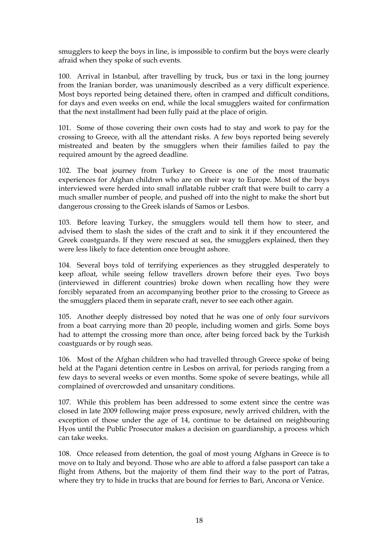smugglers to keep the boys in line, is impossible to confirm but the boys were clearly afraid when they spoke of such events.

100. Arrival in Istanbul, after travelling by truck, bus or taxi in the long journey from the Iranian border, was unanimously described as a very difficult experience. Most boys reported being detained there, often in cramped and difficult conditions, for days and even weeks on end, while the local smugglers waited for confirmation that the next installment had been fully paid at the place of origin.

101. Some of those covering their own costs had to stay and work to pay for the crossing to Greece, with all the attendant risks. A few boys reported being severely mistreated and beaten by the smugglers when their families failed to pay the required amount by the agreed deadline.

102. The boat journey from Turkey to Greece is one of the most traumatic experiences for Afghan children who are on their way to Europe. Most of the boys interviewed were herded into small inflatable rubber craft that were built to carry a much smaller number of people, and pushed off into the night to make the short but dangerous crossing to the Greek islands of Samos or Lesbos.

103. Before leaving Turkey, the smugglers would tell them how to steer, and advised them to slash the sides of the craft and to sink it if they encountered the Greek coastguards. If they were rescued at sea, the smugglers explained, then they were less likely to face detention once brought ashore.

104. Several boys told of terrifying experiences as they struggled desperately to keep afloat, while seeing fellow travellers drown before their eyes. Two boys (interviewed in different countries) broke down when recalling how they were forcibly separated from an accompanying brother prior to the crossing to Greece as the smugglers placed them in separate craft, never to see each other again.

105. Another deeply distressed boy noted that he was one of only four survivors from a boat carrying more than 20 people, including women and girls. Some boys had to attempt the crossing more than once, after being forced back by the Turkish coastguards or by rough seas.

106. Most of the Afghan children who had travelled through Greece spoke of being held at the Pagani detention centre in Lesbos on arrival, for periods ranging from a few days to several weeks or even months. Some spoke of severe beatings, while all complained of overcrowded and unsanitary conditions.

107. While this problem has been addressed to some extent since the centre was closed in late 2009 following major press exposure, newly arrived children, with the exception of those under the age of 14, continue to be detained on neighbouring Hyos until the Public Prosecutor makes a decision on guardianship, a process which can take weeks.

108. Once released from detention, the goal of most young Afghans in Greece is to move on to Italy and beyond. Those who are able to afford a false passport can take a flight from Athens, but the majority of them find their way to the port of Patras, where they try to hide in trucks that are bound for ferries to Bari, Ancona or Venice.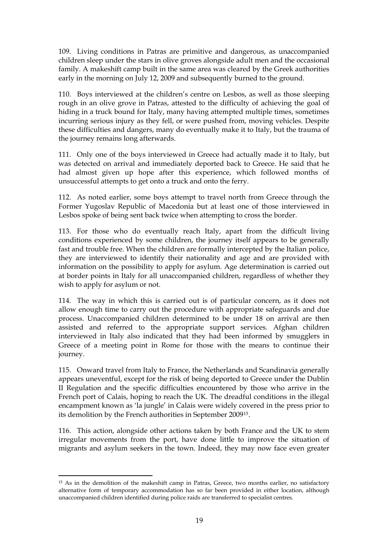109. Living conditions in Patras are primitive and dangerous, as unaccompanied children sleep under the stars in olive groves alongside adult men and the occasional family. A makeshift camp built in the same area was cleared by the Greek authorities early in the morning on July 12, 2009 and subsequently burned to the ground.

110. Boys interviewed at the children's centre on Lesbos, as well as those sleeping rough in an olive grove in Patras, attested to the difficulty of achieving the goal of hiding in a truck bound for Italy, many having attempted multiple times, sometimes incurring serious injury as they fell, or were pushed from, moving vehicles. Despite these difficulties and dangers, many do eventually make it to Italy, but the trauma of the journey remains long afterwards.

111. Only one of the boys interviewed in Greece had actually made it to Italy, but was detected on arrival and immediately deported back to Greece. He said that he had almost given up hope after this experience, which followed months of unsuccessful attempts to get onto a truck and onto the ferry.

112. As noted earlier, some boys attempt to travel north from Greece through the Former Yugoslav Republic of Macedonia but at least one of those interviewed in Lesbos spoke of being sent back twice when attempting to cross the border.

113. For those who do eventually reach Italy, apart from the difficult living conditions experienced by some children, the journey itself appears to be generally fast and trouble free. When the children are formally intercepted by the Italian police, they are interviewed to identify their nationality and age and are provided with information on the possibility to apply for asylum. Age determination is carried out at border points in Italy for all unaccompanied children, regardless of whether they wish to apply for asylum or not.

114. The way in which this is carried out is of particular concern, as it does not allow enough time to carry out the procedure with appropriate safeguards and due process. Unaccompanied children determined to be under 18 on arrival are then assisted and referred to the appropriate support services. Afghan children interviewed in Italy also indicated that they had been informed by smugglers in Greece of a meeting point in Rome for those with the means to continue their journey.

115. Onward travel from Italy to France, the Netherlands and Scandinavia generally appears uneventful, except for the risk of being deported to Greece under the Dublin II Regulation and the specific difficulties encountered by those who arrive in the French port of Calais, hoping to reach the UK. The dreadful conditions in the illegal encampment known as 'la jungle' in Calais were widely covered in the press prior to its demolition by the French authorities in September 2009[15](#page-22-0).

116. This action, alongside other actions taken by both France and the UK to stem irregular movements from the port, have done little to improve the situation of migrants and asylum seekers in the town. Indeed, they may now face even greater

 $\overline{a}$ 

<span id="page-22-0"></span><sup>15</sup> As in the demolition of the makeshift camp in Patras, Greece, two months earlier, no satisfactory alternative form of temporary accommodation has so far been provided in either location, although unaccompanied children identified during police raids are transferred to specialist centres.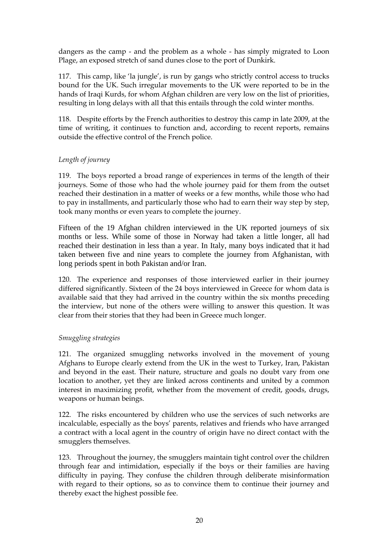dangers as the camp - and the problem as a whole - has simply migrated to Loon Plage, an exposed stretch of sand dunes close to the port of Dunkirk.

117. This camp, like 'la jungle', is run by gangs who strictly control access to trucks bound for the UK. Such irregular movements to the UK were reported to be in the hands of Iraqi Kurds, for whom Afghan children are very low on the list of priorities, resulting in long delays with all that this entails through the cold winter months.

118. Despite efforts by the French authorities to destroy this camp in late 2009, at the time of writing, it continues to function and, according to recent reports, remains outside the effective control of the French police.

## *Length of journey*

119. The boys reported a broad range of experiences in terms of the length of their journeys. Some of those who had the whole journey paid for them from the outset reached their destination in a matter of weeks or a few months, while those who had to pay in installments, and particularly those who had to earn their way step by step, took many months or even years to complete the journey.

Fifteen of the 19 Afghan children interviewed in the UK reported journeys of six months or less. While some of those in Norway had taken a little longer, all had reached their destination in less than a year. In Italy, many boys indicated that it had taken between five and nine years to complete the journey from Afghanistan, with long periods spent in both Pakistan and/or Iran.

120. The experience and responses of those interviewed earlier in their journey differed significantly. Sixteen of the 24 boys interviewed in Greece for whom data is available said that they had arrived in the country within the six months preceding the interview, but none of the others were willing to answer this question. It was clear from their stories that they had been in Greece much longer.

### *Smuggling strategies*

121. The organized smuggling networks involved in the movement of young Afghans to Europe clearly extend from the UK in the west to Turkey, Iran, Pakistan and beyond in the east. Their nature, structure and goals no doubt vary from one location to another, yet they are linked across continents and united by a common interest in maximizing profit, whether from the movement of credit, goods, drugs, weapons or human beings.

122. The risks encountered by children who use the services of such networks are incalculable, especially as the boys' parents, relatives and friends who have arranged a contract with a local agent in the country of origin have no direct contact with the smugglers themselves.

123. Throughout the journey, the smugglers maintain tight control over the children through fear and intimidation, especially if the boys or their families are having difficulty in paying. They confuse the children through deliberate misinformation with regard to their options, so as to convince them to continue their journey and thereby exact the highest possible fee.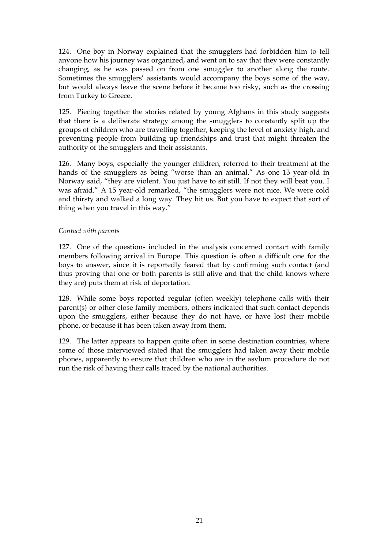124. One boy in Norway explained that the smugglers had forbidden him to tell anyone how his journey was organized, and went on to say that they were constantly changing, as he was passed on from one smuggler to another along the route. Sometimes the smugglers' assistants would accompany the boys some of the way, but would always leave the scene before it became too risky, such as the crossing from Turkey to Greece.

125. Piecing together the stories related by young Afghans in this study suggests that there is a deliberate strategy among the smugglers to constantly split up the groups of children who are travelling together, keeping the level of anxiety high, and preventing people from building up friendships and trust that might threaten the authority of the smugglers and their assistants.

126. Many boys, especially the younger children, referred to their treatment at the hands of the smugglers as being "worse than an animal." As one 13 year-old in Norway said, "they are violent. You just have to sit still. If not they will beat you. I was afraid." A 15 year-old remarked, "the smugglers were not nice. We were cold and thirsty and walked a long way. They hit us. But you have to expect that sort of thing when you travel in this way."

### *Contact with parents*

127. One of the questions included in the analysis concerned contact with family members following arrival in Europe. This question is often a difficult one for the boys to answer, since it is reportedly feared that by confirming such contact (and thus proving that one or both parents is still alive and that the child knows where they are) puts them at risk of deportation.

128. While some boys reported regular (often weekly) telephone calls with their parent(s) or other close family members, others indicated that such contact depends upon the smugglers, either because they do not have, or have lost their mobile phone, or because it has been taken away from them.

129. The latter appears to happen quite often in some destination countries, where some of those interviewed stated that the smugglers had taken away their mobile phones, apparently to ensure that children who are in the asylum procedure do not run the risk of having their calls traced by the national authorities.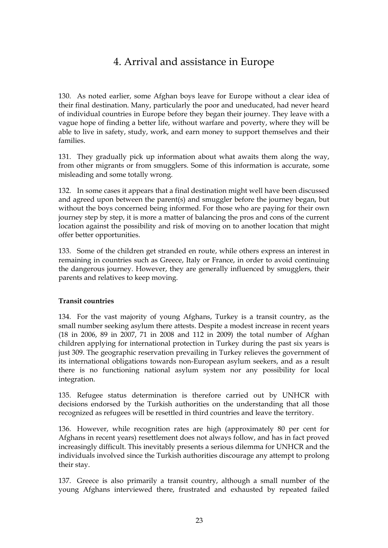# 4. Arrival and assistance in Europe

<span id="page-26-0"></span>130. As noted earlier, some Afghan boys leave for Europe without a clear idea of their final destination. Many, particularly the poor and uneducated, had never heard of individual countries in Europe before they began their journey. They leave with a vague hope of finding a better life, without warfare and poverty, where they will be able to live in safety, study, work, and earn money to support themselves and their families.

131. They gradually pick up information about what awaits them along the way, from other migrants or from smugglers. Some of this information is accurate, some misleading and some totally wrong.

132. In some cases it appears that a final destination might well have been discussed and agreed upon between the parent(s) and smuggler before the journey began, but without the boys concerned being informed. For those who are paying for their own journey step by step, it is more a matter of balancing the pros and cons of the current location against the possibility and risk of moving on to another location that might offer better opportunities.

133. Some of the children get stranded en route, while others express an interest in remaining in countries such as Greece, Italy or France, in order to avoid continuing the dangerous journey. However, they are generally influenced by smugglers, their parents and relatives to keep moving.

### **Transit countries**

134. For the vast majority of young Afghans, Turkey is a transit country, as the small number seeking asylum there attests. Despite a modest increase in recent years (18 in 2006, 89 in 2007, 71 in 2008 and 112 in 2009) the total number of Afghan children applying for international protection in Turkey during the past six years is just 309. The geographic reservation prevailing in Turkey relieves the government of its international obligations towards non-European asylum seekers, and as a result there is no functioning national asylum system nor any possibility for local integration.

135. Refugee status determination is therefore carried out by UNHCR with decisions endorsed by the Turkish authorities on the understanding that all those recognized as refugees will be resettled in third countries and leave the territory.

136. However, while recognition rates are high (approximately 80 per cent for Afghans in recent years) resettlement does not always follow, and has in fact proved increasingly difficult. This inevitably presents a serious dilemma for UNHCR and the individuals involved since the Turkish authorities discourage any attempt to prolong their stay.

137. Greece is also primarily a transit country, although a small number of the young Afghans interviewed there, frustrated and exhausted by repeated failed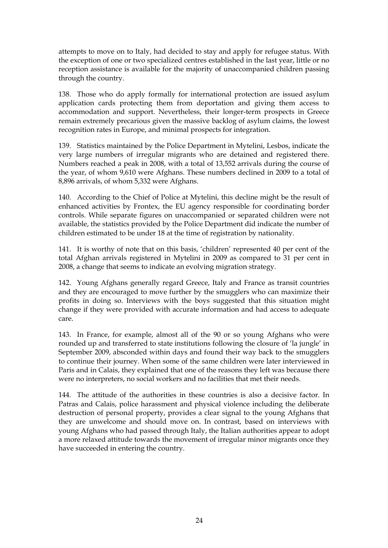attempts to move on to Italy, had decided to stay and apply for refugee status. With the exception of one or two specialized centres established in the last year, little or no reception assistance is available for the majority of unaccompanied children passing through the country.

138. Those who do apply formally for international protection are issued asylum application cards protecting them from deportation and giving them access to accommodation and support. Nevertheless, their longer-term prospects in Greece remain extremely precarious given the massive backlog of asylum claims, the lowest recognition rates in Europe, and minimal prospects for integration.

139. Statistics maintained by the Police Department in Mytelini, Lesbos, indicate the very large numbers of irregular migrants who are detained and registered there. Numbers reached a peak in 2008, with a total of 13,552 arrivals during the course of the year, of whom 9,610 were Afghans. These numbers declined in 2009 to a total of 8,896 arrivals, of whom 5,332 were Afghans.

140. According to the Chief of Police at Mytelini, this decline might be the result of enhanced activities by Frontex, the EU agency responsible for coordinating border controls. While separate figures on unaccompanied or separated children were not available, the statistics provided by the Police Department did indicate the number of children estimated to be under 18 at the time of registration by nationality.

141. It is worthy of note that on this basis, 'children' represented 40 per cent of the total Afghan arrivals registered in Mytelini in 2009 as compared to 31 per cent in 2008, a change that seems to indicate an evolving migration strategy.

142. Young Afghans generally regard Greece, Italy and France as transit countries and they are encouraged to move further by the smugglers who can maximize their profits in doing so. Interviews with the boys suggested that this situation might change if they were provided with accurate information and had access to adequate care.

143. In France, for example, almost all of the 90 or so young Afghans who were rounded up and transferred to state institutions following the closure of 'la jungle' in September 2009, absconded within days and found their way back to the smugglers to continue their journey. When some of the same children were later interviewed in Paris and in Calais, they explained that one of the reasons they left was because there were no interpreters, no social workers and no facilities that met their needs.

144. The attitude of the authorities in these countries is also a decisive factor. In Patras and Calais, police harassment and physical violence including the deliberate destruction of personal property, provides a clear signal to the young Afghans that they are unwelcome and should move on. In contrast, based on interviews with young Afghans who had passed through Italy, the Italian authorities appear to adopt a more relaxed attitude towards the movement of irregular minor migrants once they have succeeded in entering the country.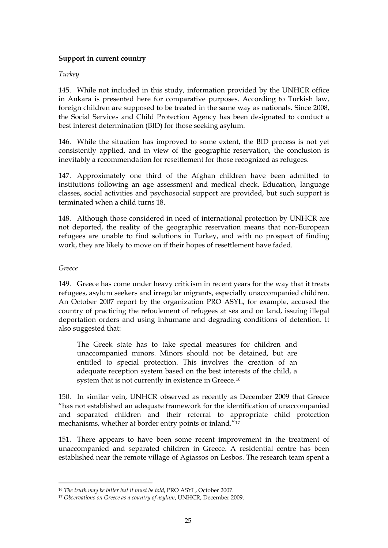## **Support in current country**

### *Turkey*

145. While not included in this study, information provided by the UNHCR office in Ankara is presented here for comparative purposes. According to Turkish law, foreign children are supposed to be treated in the same way as nationals. Since 2008, the Social Services and Child Protection Agency has been designated to conduct a best interest determination (BID) for those seeking asylum.

146. While the situation has improved to some extent, the BID process is not yet consistently applied, and in view of the geographic reservation, the conclusion is inevitably a recommendation for resettlement for those recognized as refugees.

147. Approximately one third of the Afghan children have been admitted to institutions following an age assessment and medical check. Education, language classes, social activities and psychosocial support are provided, but such support is terminated when a child turns 18.

148. Although those considered in need of international protection by UNHCR are not deported, the reality of the geographic reservation means that non-European refugees are unable to find solutions in Turkey, and with no prospect of finding work, they are likely to move on if their hopes of resettlement have faded.

#### *Greece*

149. Greece has come under heavy criticism in recent years for the way that it treats refugees, asylum seekers and irregular migrants, especially unaccompanied children. An October 2007 report by the organization PRO ASYL, for example, accused the country of practicing the refoulement of refugees at sea and on land, issuing illegal deportation orders and using inhumane and degrading conditions of detention. It also suggested that:

The Greek state has to take special measures for children and unaccompanied minors. Minors should not be detained, but are entitled to special protection. This involves the creation of an adequate reception system based on the best interests of the child, a system that is not currently in existence in Greece.[16](#page-28-0)

150. In similar vein, UNHCR observed as recently as December 2009 that Greece "has not established an adequate framework for the identification of unaccompanied and separated children and their referral to appropriate child protection mechanisms, whether at border entry points or inland."[17](#page-28-1)

151. There appears to have been some recent improvement in the treatment of unaccompanied and separated children in Greece. A residential centre has been established near the remote village of Agiassos on Lesbos. The research team spent a

 $\overline{a}$ <sup>16</sup> *The truth may be bitter but it must be told*, PRO ASYL, October 2007.

<span id="page-28-1"></span><span id="page-28-0"></span><sup>17</sup> *Observations on Greece as a country of asylum*, UNHCR, December 2009.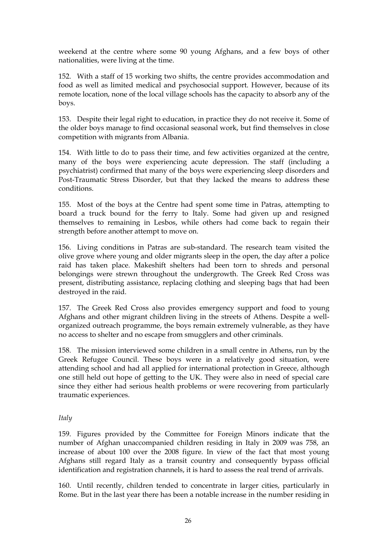weekend at the centre where some 90 young Afghans, and a few boys of other nationalities, were living at the time.

152. With a staff of 15 working two shifts, the centre provides accommodation and food as well as limited medical and psychosocial support. However, because of its remote location, none of the local village schools has the capacity to absorb any of the boys.

153. Despite their legal right to education, in practice they do not receive it. Some of the older boys manage to find occasional seasonal work, but find themselves in close competition with migrants from Albania.

154. With little to do to pass their time, and few activities organized at the centre, many of the boys were experiencing acute depression. The staff (including a psychiatrist) confirmed that many of the boys were experiencing sleep disorders and Post-Traumatic Stress Disorder, but that they lacked the means to address these conditions.

155. Most of the boys at the Centre had spent some time in Patras, attempting to board a truck bound for the ferry to Italy. Some had given up and resigned themselves to remaining in Lesbos, while others had come back to regain their strength before another attempt to move on.

156. Living conditions in Patras are sub-standard. The research team visited the olive grove where young and older migrants sleep in the open, the day after a police raid has taken place. Makeshift shelters had been torn to shreds and personal belongings were strewn throughout the undergrowth. The Greek Red Cross was present, distributing assistance, replacing clothing and sleeping bags that had been destroyed in the raid.

157. The Greek Red Cross also provides emergency support and food to young Afghans and other migrant children living in the streets of Athens. Despite a wellorganized outreach programme, the boys remain extremely vulnerable, as they have no access to shelter and no escape from smugglers and other criminals.

158. The mission interviewed some children in a small centre in Athens, run by the Greek Refugee Council. These boys were in a relatively good situation, were attending school and had all applied for international protection in Greece, although one still held out hope of getting to the UK. They were also in need of special care since they either had serious health problems or were recovering from particularly traumatic experiences.

### *Italy*

159. Figures provided by the Committee for Foreign Minors indicate that the number of Afghan unaccompanied children residing in Italy in 2009 was 758, an increase of about 100 over the 2008 figure. In view of the fact that most young Afghans still regard Italy as a transit country and consequently bypass official identification and registration channels, it is hard to assess the real trend of arrivals.

160. Until recently, children tended to concentrate in larger cities, particularly in Rome. But in the last year there has been a notable increase in the number residing in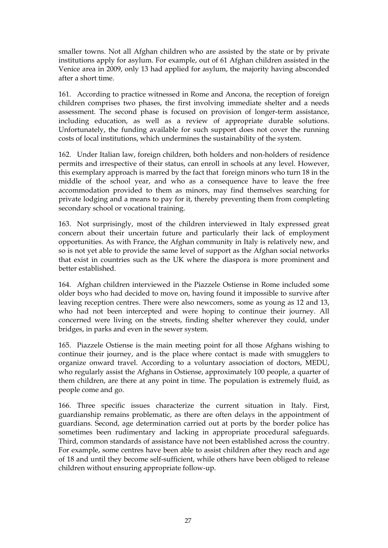smaller towns. Not all Afghan children who are assisted by the state or by private institutions apply for asylum. For example, out of 61 Afghan children assisted in the Venice area in 2009, only 13 had applied for asylum, the majority having absconded after a short time.

161. According to practice witnessed in Rome and Ancona, the reception of foreign children comprises two phases, the first involving immediate shelter and a needs assessment. The second phase is focused on provision of longer-term assistance, including education, as well as a review of appropriate durable solutions. Unfortunately, the funding available for such support does not cover the running costs of local institutions, which undermines the sustainability of the system.

162. Under Italian law, foreign children, both holders and non-holders of residence permits and irrespective of their status, can enroll in schools at any level. However, this exemplary approach is marred by the fact that foreign minors who turn 18 in the middle of the school year, and who as a consequence have to leave the free accommodation provided to them as minors, may find themselves searching for private lodging and a means to pay for it, thereby preventing them from completing secondary school or vocational training.

163. Not surprisingly, most of the children interviewed in Italy expressed great concern about their uncertain future and particularly their lack of employment opportunities. As with France, the Afghan community in Italy is relatively new, and so is not yet able to provide the same level of support as the Afghan social networks that exist in countries such as the UK where the diaspora is more prominent and better established.

164. Afghan children interviewed in the Piazzele Ostiense in Rome included some older boys who had decided to move on, having found it impossible to survive after leaving reception centres. There were also newcomers, some as young as 12 and 13, who had not been intercepted and were hoping to continue their journey. All concerned were living on the streets, finding shelter wherever they could, under bridges, in parks and even in the sewer system.

165. Piazzele Ostiense is the main meeting point for all those Afghans wishing to continue their journey, and is the place where contact is made with smugglers to organize onward travel. According to a voluntary association of doctors, MEDU, who regularly assist the Afghans in Ostiense, approximately 100 people, a quarter of them children, are there at any point in time. The population is extremely fluid, as people come and go.

166. Three specific issues characterize the current situation in Italy. First, guardianship remains problematic, as there are often delays in the appointment of guardians. Second, age determination carried out at ports by the border police has sometimes been rudimentary and lacking in appropriate procedural safeguards. Third, common standards of assistance have not been established across the country. For example, some centres have been able to assist children after they reach and age of 18 and until they become self-sufficient, while others have been obliged to release children without ensuring appropriate follow-up.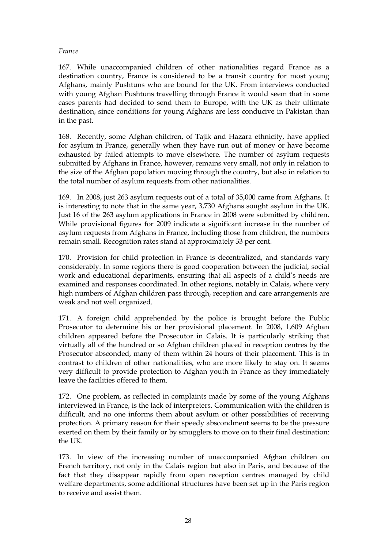### *France*

167. While unaccompanied children of other nationalities regard France as a destination country, France is considered to be a transit country for most young Afghans, mainly Pushtuns who are bound for the UK. From interviews conducted with young Afghan Pushtuns travelling through France it would seem that in some cases parents had decided to send them to Europe, with the UK as their ultimate destination, since conditions for young Afghans are less conducive in Pakistan than in the past.

168. Recently, some Afghan children, of Tajik and Hazara ethnicity, have applied for asylum in France, generally when they have run out of money or have become exhausted by failed attempts to move elsewhere. The number of asylum requests submitted by Afghans in France, however, remains very small, not only in relation to the size of the Afghan population moving through the country, but also in relation to the total number of asylum requests from other nationalities.

169. In 2008, just 263 asylum requests out of a total of 35,000 came from Afghans. It is interesting to note that in the same year, 3,730 Afghans sought asylum in the UK. Just 16 of the 263 asylum applications in France in 2008 were submitted by children. While provisional figures for 2009 indicate a significant increase in the number of asylum requests from Afghans in France, including those from children, the numbers remain small. Recognition rates stand at approximately 33 per cent.

170. Provision for child protection in France is decentralized, and standards vary considerably. In some regions there is good cooperation between the judicial, social work and educational departments, ensuring that all aspects of a child's needs are examined and responses coordinated. In other regions, notably in Calais, where very high numbers of Afghan children pass through, reception and care arrangements are weak and not well organized.

171. A foreign child apprehended by the police is brought before the Public Prosecutor to determine his or her provisional placement. In 2008, 1,609 Afghan children appeared before the Prosecutor in Calais. It is particularly striking that virtually all of the hundred or so Afghan children placed in reception centres by the Prosecutor absconded, many of them within 24 hours of their placement. This is in contrast to children of other nationalities, who are more likely to stay on. It seems very difficult to provide protection to Afghan youth in France as they immediately leave the facilities offered to them.

172. One problem, as reflected in complaints made by some of the young Afghans interviewed in France, is the lack of interpreters. Communication with the children is difficult, and no one informs them about asylum or other possibilities of receiving protection. A primary reason for their speedy abscondment seems to be the pressure exerted on them by their family or by smugglers to move on to their final destination: the UK.

173. In view of the increasing number of unaccompanied Afghan children on French territory, not only in the Calais region but also in Paris, and because of the fact that they disappear rapidly from open reception centres managed by child welfare departments, some additional structures have been set up in the Paris region to receive and assist them.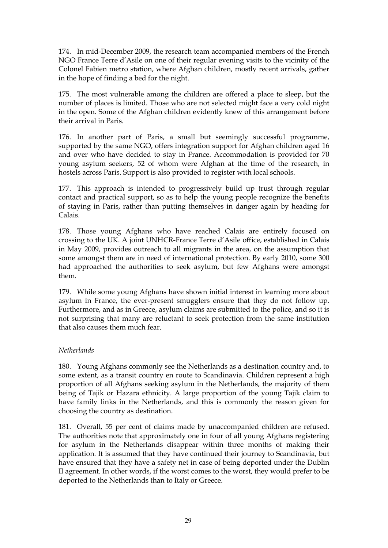174. In mid-December 2009, the research team accompanied members of the French NGO France Terre d'Asile on one of their regular evening visits to the vicinity of the Colonel Fabien metro station, where Afghan children, mostly recent arrivals, gather in the hope of finding a bed for the night.

175. The most vulnerable among the children are offered a place to sleep, but the number of places is limited. Those who are not selected might face a very cold night in the open. Some of the Afghan children evidently knew of this arrangement before their arrival in Paris.

176. In another part of Paris, a small but seemingly successful programme, supported by the same NGO, offers integration support for Afghan children aged 16 and over who have decided to stay in France. Accommodation is provided for 70 young asylum seekers, 52 of whom were Afghan at the time of the research, in hostels across Paris. Support is also provided to register with local schools.

177. This approach is intended to progressively build up trust through regular contact and practical support, so as to help the young people recognize the benefits of staying in Paris, rather than putting themselves in danger again by heading for Calais.

178. Those young Afghans who have reached Calais are entirely focused on crossing to the UK. A joint UNHCR-France Terre d'Asile office, established in Calais in May 2009, provides outreach to all migrants in the area, on the assumption that some amongst them are in need of international protection. By early 2010, some 300 had approached the authorities to seek asylum, but few Afghans were amongst them.

179. While some young Afghans have shown initial interest in learning more about asylum in France, the ever-present smugglers ensure that they do not follow up. Furthermore, and as in Greece, asylum claims are submitted to the police, and so it is not surprising that many are reluctant to seek protection from the same institution that also causes them much fear.

### *Netherlands*

180. Young Afghans commonly see the Netherlands as a destination country and, to some extent, as a transit country en route to Scandinavia. Children represent a high proportion of all Afghans seeking asylum in the Netherlands, the majority of them being of Tajik or Hazara ethnicity. A large proportion of the young Tajik claim to have family links in the Netherlands, and this is commonly the reason given for choosing the country as destination.

181. Overall, 55 per cent of claims made by unaccompanied children are refused. The authorities note that approximately one in four of all young Afghans registering for asylum in the Netherlands disappear within three months of making their application. It is assumed that they have continued their journey to Scandinavia, but have ensured that they have a safety net in case of being deported under the Dublin II agreement. In other words, if the worst comes to the worst, they would prefer to be deported to the Netherlands than to Italy or Greece.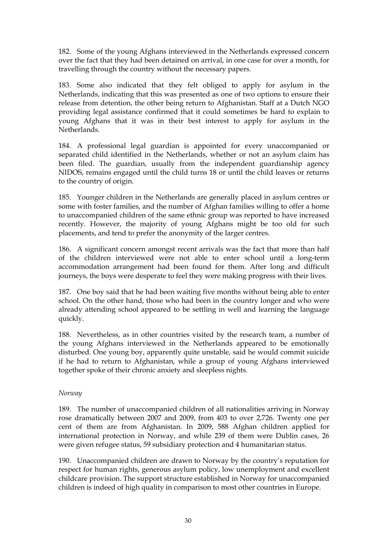182. Some of the young Afghans interviewed in the Netherlands expressed concern over the fact that they had been detained on arrival, in one case for over a month, for travelling through the country without the necessary papers.

183. Some also indicated that they felt obliged to apply for asylum in the Netherlands, indicating that this was presented as one of two options to ensure their release from detention, the other being return to Afghanistan. Staff at a Dutch NGO providing legal assistance confirmed that it could sometimes be hard to explain to young Afghans that it was in their best interest to apply for asylum in the Netherlands.

184. A professional legal guardian is appointed for every unaccompanied or separated child identified in the Netherlands, whether or not an asylum claim has been filed. The guardian, usually from the independent guardianship agency NIDOS, remains engaged until the child turns 18 or until the child leaves or returns to the country of origin.

185. Younger children in the Netherlands are generally placed in asylum centres or some with foster families, and the number of Afghan families willing to offer a home to unaccompanied children of the same ethnic group was reported to have increased recently. However, the majority of young Afghans might be too old for such placements, and tend to prefer the anonymity of the larger centres.

186. A significant concern amongst recent arrivals was the fact that more than half of the children interviewed were not able to enter school until a long-term accommodation arrangement had been found for them. After long and difficult journeys, the boys were desperate to feel they were making progress with their lives.

187. One boy said that he had been waiting five months without being able to enter school. On the other hand, those who had been in the country longer and who were already attending school appeared to be settling in well and learning the language quickly.

188. Nevertheless, as in other countries visited by the research team, a number of the young Afghans interviewed in the Netherlands appeared to be emotionally disturbed. One young boy, apparently quite unstable, said he would commit suicide if he had to return to Afghanistan, while a group of young Afghans interviewed together spoke of their chronic anxiety and sleepless nights.

### *Norway*

189. The number of unaccompanied children of all nationalities arriving in Norway rose dramatically between 2007 and 2009, from 403 to over 2,726. Twenty one per cent of them are from Afghanistan. In 2009, 588 Afghan children applied for international protection in Norway, and while 239 of them were Dublin cases, 26 were given refugee status, 59 subsidiary protection and 4 humanitarian status.

190. Unaccompanied children are drawn to Norway by the country's reputation for respect for human rights, generous asylum policy, low unemployment and excellent childcare provision. The support structure established in Norway for unaccompanied children is indeed of high quality in comparison to most other countries in Europe.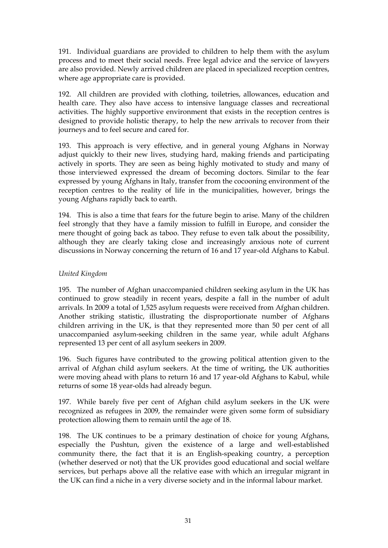191. Individual guardians are provided to children to help them with the asylum process and to meet their social needs. Free legal advice and the service of lawyers are also provided. Newly arrived children are placed in specialized reception centres, where age appropriate care is provided.

192. All children are provided with clothing, toiletries, allowances, education and health care. They also have access to intensive language classes and recreational activities. The highly supportive environment that exists in the reception centres is designed to provide holistic therapy, to help the new arrivals to recover from their journeys and to feel secure and cared for.

193. This approach is very effective, and in general young Afghans in Norway adjust quickly to their new lives, studying hard, making friends and participating actively in sports. They are seen as being highly motivated to study and many of those interviewed expressed the dream of becoming doctors. Similar to the fear expressed by young Afghans in Italy, transfer from the cocooning environment of the reception centres to the reality of life in the municipalities, however, brings the young Afghans rapidly back to earth.

194. This is also a time that fears for the future begin to arise. Many of the children feel strongly that they have a family mission to fulfill in Europe, and consider the mere thought of going back as taboo. They refuse to even talk about the possibility, although they are clearly taking close and increasingly anxious note of current discussions in Norway concerning the return of 16 and 17 year-old Afghans to Kabul.

## *United Kingdom*

195. The number of Afghan unaccompanied children seeking asylum in the UK has continued to grow steadily in recent years, despite a fall in the number of adult arrivals. In 2009 a total of 1,525 asylum requests were received from Afghan children. Another striking statistic, illustrating the disproportionate number of Afghans children arriving in the UK, is that they represented more than 50 per cent of all unaccompanied asylum-seeking children in the same year, while adult Afghans represented 13 per cent of all asylum seekers in 2009.

196. Such figures have contributed to the growing political attention given to the arrival of Afghan child asylum seekers. At the time of writing, the UK authorities were moving ahead with plans to return 16 and 17 year-old Afghans to Kabul, while returns of some 18 year-olds had already begun.

197. While barely five per cent of Afghan child asylum seekers in the UK were recognized as refugees in 2009, the remainder were given some form of subsidiary protection allowing them to remain until the age of 18.

198. The UK continues to be a primary destination of choice for young Afghans, especially the Pushtun, given the existence of a large and well-established community there, the fact that it is an English-speaking country, a perception (whether deserved or not) that the UK provides good educational and social welfare services, but perhaps above all the relative ease with which an irregular migrant in the UK can find a niche in a very diverse society and in the informal labour market.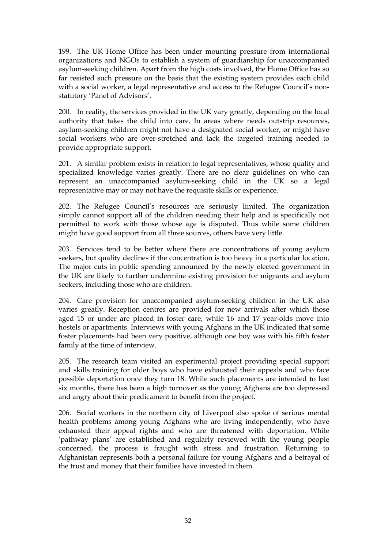199. The UK Home Office has been under mounting pressure from international organizations and NGOs to establish a system of guardianship for unaccompanied asylum-seeking children. Apart from the high costs involved, the Home Office has so far resisted such pressure on the basis that the existing system provides each child with a social worker, a legal representative and access to the Refugee Council's nonstatutory 'Panel of Advisors'.

200. In reality, the services provided in the UK vary greatly, depending on the local authority that takes the child into care. In areas where needs outstrip resources, asylum-seeking children might not have a designated social worker, or might have social workers who are over-stretched and lack the targeted training needed to provide appropriate support.

201. A similar problem exists in relation to legal representatives, whose quality and specialized knowledge varies greatly. There are no clear guidelines on who can represent an unaccompanied asylum-seeking child in the UK so a legal representative may or may not have the requisite skills or experience.

202. The Refugee Council's resources are seriously limited. The organization simply cannot support all of the children needing their help and is specifically not permitted to work with those whose age is disputed. Thus while some children might have good support from all three sources, others have very little.

203. Services tend to be better where there are concentrations of young asylum seekers, but quality declines if the concentration is too heavy in a particular location. The major cuts in public spending announced by the newly elected government in the UK are likely to further undermine existing provision for migrants and asylum seekers, including those who are children.

204. Care provision for unaccompanied asylum-seeking children in the UK also varies greatly. Reception centres are provided for new arrivals after which those aged 15 or under are placed in foster care, while 16 and 17 year-olds move into hostels or apartments. Interviews with young Afghans in the UK indicated that some foster placements had been very positive, although one boy was with his fifth foster family at the time of interview.

205. The research team visited an experimental project providing special support and skills training for older boys who have exhausted their appeals and who face possible deportation once they turn 18. While such placements are intended to last six months, there has been a high turnover as the young Afghans are too depressed and angry about their predicament to benefit from the project.

206. Social workers in the northern city of Liverpool also spoke of serious mental health problems among young Afghans who are living independently, who have exhausted their appeal rights and who are threatened with deportation. While 'pathway plans' are established and regularly reviewed with the young people concerned, the process is fraught with stress and frustration. Returning to Afghanistan represents both a personal failure for young Afghans and a betrayal of the trust and money that their families have invested in them.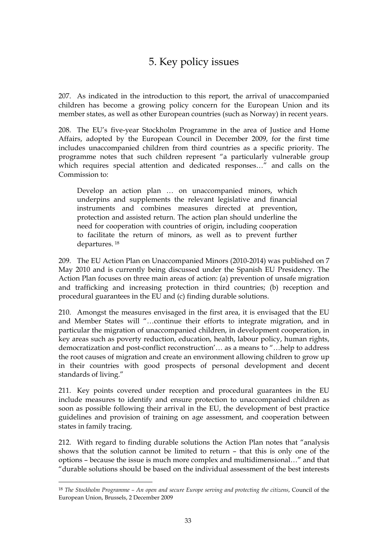# 5. Key policy issues

<span id="page-36-0"></span>207. As indicated in the introduction to this report, the arrival of unaccompanied children has become a growing policy concern for the European Union and its member states, as well as other European countries (such as Norway) in recent years.

208. The EU's five-year Stockholm Programme in the area of Justice and Home Affairs, adopted by the European Council in December 2009, for the first time includes unaccompanied children from third countries as a specific priority. The programme notes that such children represent "a particularly vulnerable group which requires special attention and dedicated responses…" and calls on the Commission to:

Develop an action plan … on unaccompanied minors, which underpins and supplements the relevant legislative and financial instruments and combines measures directed at prevention, protection and assisted return. The action plan should underline the need for cooperation with countries of origin, including cooperation to facilitate the return of minors, as well as to prevent further departures. [18](#page-36-1)

209. The EU Action Plan on Unaccompanied Minors (2010-2014) was published on 7 May 2010 and is currently being discussed under the Spanish EU Presidency. The Action Plan focuses on three main areas of action: (a) prevention of unsafe migration and trafficking and increasing protection in third countries; (b) reception and procedural guarantees in the EU and (c) finding durable solutions.

210. Amongst the measures envisaged in the first area, it is envisaged that the EU and Member States will "…continue their efforts to integrate migration, and in particular the migration of unaccompanied children, in development cooperation, in key areas such as poverty reduction, education, health, labour policy, human rights, democratization and post-conflict reconstruction'… as a means to "…help to address the root causes of migration and create an environment allowing children to grow up in their countries with good prospects of personal development and decent standards of living."

211. Key points covered under reception and procedural guarantees in the EU include measures to identify and ensure protection to unaccompanied children as soon as possible following their arrival in the EU, the development of best practice guidelines and provision of training on age assessment, and cooperation between states in family tracing.

212. With regard to finding durable solutions the Action Plan notes that "analysis shows that the solution cannot be limited to return – that this is only one of the options – because the issue is much more complex and multidimensional…" and that "durable solutions should be based on the individual assessment of the best interests

 $\overline{a}$ 

<span id="page-36-1"></span><sup>18</sup> *The Stockholm Programme – An open and secure Europe serving and protecting the citizens*, Council of the European Union, Brussels, 2 December 2009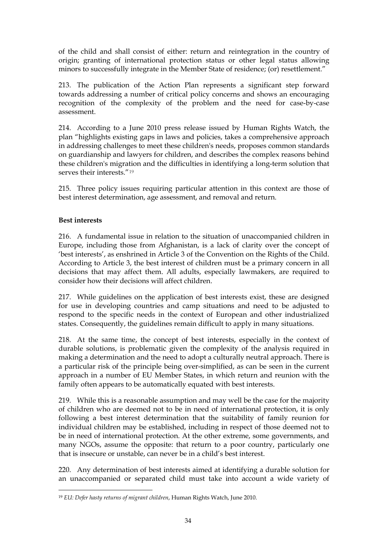of the child and shall consist of either: return and reintegration in the country of origin; granting of international protection status or other legal status allowing minors to successfully integrate in the Member State of residence; (or) resettlement."

213. The publication of the Action Plan represents a significant step forward towards addressing a number of critical policy concerns and shows an encouraging recognition of the complexity of the problem and the need for case-by-case assessment.

214. According to a June 2010 press release issued by Human Rights Watch, the plan "highlights existing gaps in laws and policies, takes a comprehensive approach in addressing challenges to meet these children's needs, proposes common standards on guardianship and lawyers for children, and describes the complex reasons behind these children's migration and the difficulties in identifying a long-term solution that serves their interests "[19](#page-37-0)

215. Three policy issues requiring particular attention in this context are those of best interest determination, age assessment, and removal and return.

## **Best interests**

216. A fundamental issue in relation to the situation of unaccompanied children in Europe, including those from Afghanistan, is a lack of clarity over the concept of 'best interests', as enshrined in Article 3 of the Convention on the Rights of the Child. According to Article 3, the best interest of children must be a primary concern in all decisions that may affect them. All adults, especially lawmakers, are required to consider how their decisions will affect children.

217. While guidelines on the application of best interests exist, these are designed for use in developing countries and camp situations and need to be adjusted to respond to the specific needs in the context of European and other industrialized states. Consequently, the guidelines remain difficult to apply in many situations.

218. At the same time, the concept of best interests, especially in the context of durable solutions, is problematic given the complexity of the analysis required in making a determination and the need to adopt a culturally neutral approach. There is a particular risk of the principle being over-simplified, as can be seen in the current approach in a number of EU Member States, in which return and reunion with the family often appears to be automatically equated with best interests.

219. While this is a reasonable assumption and may well be the case for the majority of children who are deemed not to be in need of international protection, it is only following a best interest determination that the suitability of family reunion for individual children may be established, including in respect of those deemed not to be in need of international protection. At the other extreme, some governments, and many NGOs, assume the opposite: that return to a poor country, particularly one that is insecure or unstable, can never be in a child's best interest.

220. Any determination of best interests aimed at identifying a durable solution for an unaccompanied or separated child must take into account a wide variety of

<span id="page-37-0"></span> <sup>19</sup> *EU: Defer hasty returns of migrant children*, Human Rights Watch, June 2010.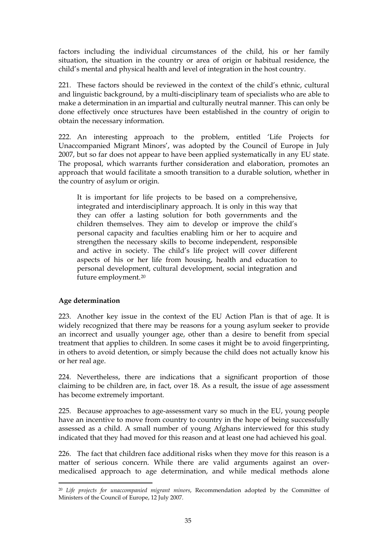factors including the individual circumstances of the child, his or her family situation, the situation in the country or area of origin or habitual residence, the child's mental and physical health and level of integration in the host country.

221. These factors should be reviewed in the context of the child's ethnic, cultural and linguistic background, by a multi-disciplinary team of specialists who are able to make a determination in an impartial and culturally neutral manner. This can only be done effectively once structures have been established in the country of origin to obtain the necessary information.

222. An interesting approach to the problem, entitled 'Life Projects for Unaccompanied Migrant Minors', was adopted by the Council of Europe in July 2007, but so far does not appear to have been applied systematically in any EU state. The proposal, which warrants further consideration and elaboration, promotes an approach that would facilitate a smooth transition to a durable solution, whether in the country of asylum or origin.

It is important for life projects to be based on a comprehensive, integrated and interdisciplinary approach. It is only in this way that they can offer a lasting solution for both governments and the children themselves. They aim to develop or improve the child's personal capacity and faculties enabling him or her to acquire and strengthen the necessary skills to become independent, responsible and active in society. The child's life project will cover different aspects of his or her life from housing, health and education to personal development, cultural development, social integration and future employment.[20](#page-38-0)

# **Age determination**

 $\overline{a}$ 

223. Another key issue in the context of the EU Action Plan is that of age. It is widely recognized that there may be reasons for a young asylum seeker to provide an incorrect and usually younger age, other than a desire to benefit from special treatment that applies to children. In some cases it might be to avoid fingerprinting, in others to avoid detention, or simply because the child does not actually know his or her real age.

224. Nevertheless, there are indications that a significant proportion of those claiming to be children are, in fact, over 18. As a result, the issue of age assessment has become extremely important.

225. Because approaches to age-assessment vary so much in the EU, young people have an incentive to move from country to country in the hope of being successfully assessed as a child. A small number of young Afghans interviewed for this study indicated that they had moved for this reason and at least one had achieved his goal.

226. The fact that children face additional risks when they move for this reason is a matter of serious concern. While there are valid arguments against an overmedicalised approach to age determination, and while medical methods alone

<span id="page-38-0"></span><sup>20</sup> *Life projects for unaccompanied migrant minors*, Recommendation adopted by the Committee of Ministers of the Council of Europe, 12 July 2007.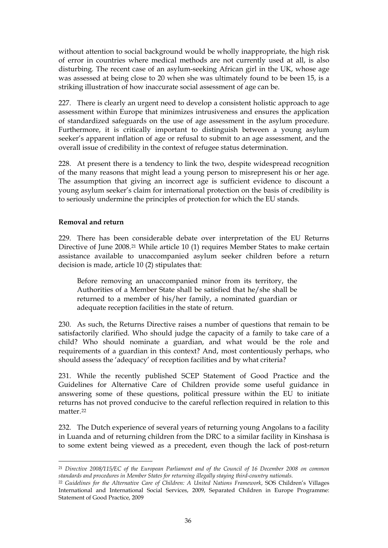without attention to social background would be wholly inappropriate, the high risk of error in countries where medical methods are not currently used at all, is also disturbing. The recent case of an asylum-seeking African girl in the UK, whose age was assessed at being close to 20 when she was ultimately found to be been 15, is a striking illustration of how inaccurate social assessment of age can be.

227. There is clearly an urgent need to develop a consistent holistic approach to age assessment within Europe that minimizes intrusiveness and ensures the application of standardized safeguards on the use of age assessment in the asylum procedure. Furthermore, it is critically important to distinguish between a young asylum seeker's apparent inflation of age or refusal to submit to an age assessment, and the overall issue of credibility in the context of refugee status determination.

228. At present there is a tendency to link the two, despite widespread recognition of the many reasons that might lead a young person to misrepresent his or her age. The assumption that giving an incorrect age is sufficient evidence to discount a young asylum seeker's claim for international protection on the basis of credibility is to seriously undermine the principles of protection for which the EU stands.

## **Removal and return**

229. There has been considerable debate over interpretation of the EU Returns Directive of June 2008.[21](#page-39-0) While article 10 (1) requires Member States to make certain assistance available to unaccompanied asylum seeker children before a return decision is made, article 10 (2) stipulates that:

Before removing an unaccompanied minor from its territory, the Authorities of a Member State shall be satisfied that he/she shall be returned to a member of his/her family, a nominated guardian or adequate reception facilities in the state of return.

230. As such, the Returns Directive raises a number of questions that remain to be satisfactorily clarified. Who should judge the capacity of a family to take care of a child? Who should nominate a guardian, and what would be the role and requirements of a guardian in this context? And, most contentiously perhaps, who should assess the 'adequacy' of reception facilities and by what criteria?

231. While the recently published SCEP Statement of Good Practice and the Guidelines for Alternative Care of Children provide some useful guidance in answering some of these questions, political pressure within the EU to initiate returns has not proved conducive to the careful reflection required in relation to this matter.[22](#page-39-1)

232. The Dutch experience of several years of returning young Angolans to a facility in Luanda and of returning children from the DRC to a similar facility in Kinshasa is to some extent being viewed as a precedent, even though the lack of post-return

<span id="page-39-0"></span> $\overline{a}$ <sup>21</sup> *Directive 2008/115/EC of the European Parliament and of the Council of 16 December 2008 on common standards and procedures in Member States for returning illegally staying third-country nationals.*

<span id="page-39-1"></span><sup>22</sup> *Guidelines for the Alternative Care of Children: A United Nations Framework*, SOS Children's Villages International and International Social Services, 2009, Separated Children in Europe Programme: Statement of Good Practice, 2009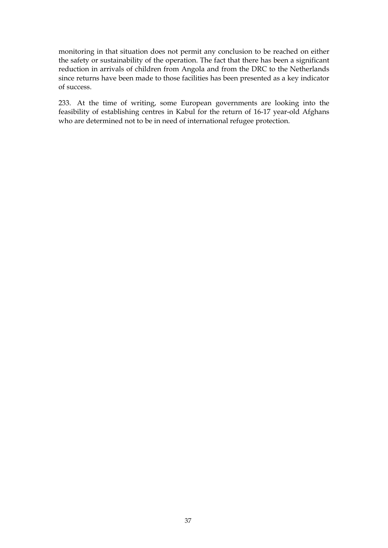monitoring in that situation does not permit any conclusion to be reached on either the safety or sustainability of the operation. The fact that there has been a significant reduction in arrivals of children from Angola and from the DRC to the Netherlands since returns have been made to those facilities has been presented as a key indicator of success.

233. At the time of writing, some European governments are looking into the feasibility of establishing centres in Kabul for the return of 16-17 year-old Afghans who are determined not to be in need of international refugee protection.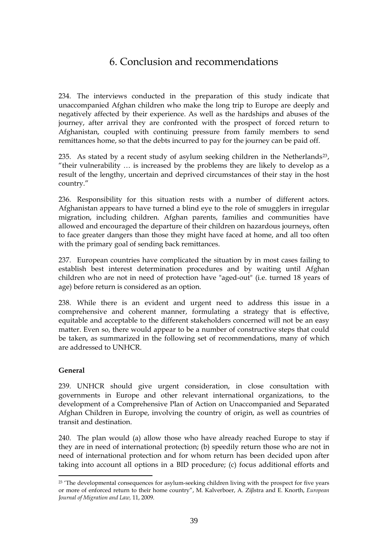# 6. Conclusion and recommendations

<span id="page-42-0"></span>234. The interviews conducted in the preparation of this study indicate that unaccompanied Afghan children who make the long trip to Europe are deeply and negatively affected by their experience. As well as the hardships and abuses of the journey, after arrival they are confronted with the prospect of forced return to Afghanistan, coupled with continuing pressure from family members to send remittances home, so that the debts incurred to pay for the journey can be paid off.

[23](#page-42-1)5. As stated by a recent study of asylum seeking children in the Netherlands<sup>23</sup>, "their vulnerability … is increased by the problems they are likely to develop as a result of the lengthy, uncertain and deprived circumstances of their stay in the host country."

236. Responsibility for this situation rests with a number of different actors. Afghanistan appears to have turned a blind eye to the role of smugglers in irregular migration, including children. Afghan parents, families and communities have allowed and encouraged the departure of their children on hazardous journeys, often to face greater dangers than those they might have faced at home, and all too often with the primary goal of sending back remittances.

237. European countries have complicated the situation by in most cases failing to establish best interest determination procedures and by waiting until Afghan children who are not in need of protection have "aged-out" (i.e. turned 18 years of age) before return is considered as an option.

238. While there is an evident and urgent need to address this issue in a comprehensive and coherent manner, formulating a strategy that is effective, equitable and acceptable to the different stakeholders concerned will not be an easy matter. Even so, there would appear to be a number of constructive steps that could be taken, as summarized in the following set of recommendations, many of which are addressed to UNHCR.

### **General**

 $\overline{a}$ 

239. UNHCR should give urgent consideration, in close consultation with governments in Europe and other relevant international organizations, to the development of a Comprehensive Plan of Action on Unaccompanied and Separated Afghan Children in Europe, involving the country of origin, as well as countries of transit and destination.

240. The plan would (a) allow those who have already reached Europe to stay if they are in need of international protection; (b) speedily return those who are not in need of international protection and for whom return has been decided upon after taking into account all options in a BID procedure; (c) focus additional efforts and

<span id="page-42-1"></span><sup>&</sup>lt;sup>23</sup> 'The developmental consequences for asylum-seeking children living with the prospect for five years or more of enforced return to their home country", M. Kalverboer, A. Zijlstra and E. Knorth, *European Journal of Migration and Law,* 11, 2009.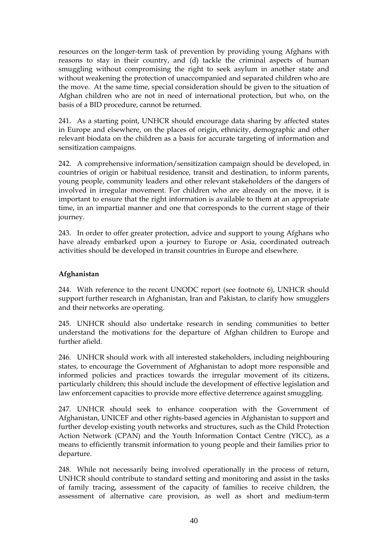resources on the longer-term task of prevention by providing young Afghans with reasons to stay in their country, and (d) tackle the criminal aspects of human smuggling without compromising the right to seek asylum in another state and without weakening the protection of unaccompanied and separated children who are the move. At the same time, special consideration should be given to the situation of Afghan children who are not in need of international protection, but who, on the basis of a BID procedure, cannot be returned.

241. As a starting point, UNHCR should encourage data sharing by affected states in Europe and elsewhere, on the places of origin, ethnicity, demographic and other relevant biodata on the children as a basis for accurate targeting of information and sensitization campaigns.

242. A comprehensive information/sensitization campaign should be developed, in countries of origin or habitual residence, transit and destination, to inform parents, young people, community leaders and other relevant stakeholders of the dangers of involved in irregular movement. For children who are already on the move, it is important to ensure that the right information is available to them at an appropriate time, in an impartial manner and one that corresponds to the current stage of their journey.

243. In order to offer greater protection, advice and support to young Afghans who have already embarked upon a journey to Europe or Asia, coordinated outreach activities should be developed in transit countries in Europe and elsewhere.

## **Afghanistan**

244. With reference to the recent UNODC report (see footnote 6), UNHCR should support further research in Afghanistan, Iran and Pakistan, to clarify how smugglers and their networks are operating.

245. UNHCR should also undertake research in sending communities to better understand the motivations for the departure of Afghan children to Europe and further afield.

246. UNHCR should work with all interested stakeholders, including neighbouring states, to encourage the Government of Afghanistan to adopt more responsible and informed policies and practices towards the irregular movement of its citizens, particularly children; this should include the development of effective legislation and law enforcement capacities to provide more effective deterrence against smuggling.

247. UNHCR should seek to enhance cooperation with the Government of Afghanistan, UNICEF and other rights-based agencies in Afghanistan to support and further develop existing youth networks and structures, such as the Child Protection Action Network (CPAN) and the Youth Information Contact Centre (YICC), as a means to efficiently transmit information to young people and their families prior to departure.

248. While not necessarily being involved operationally in the process of return, UNHCR should contribute to standard setting and monitoring and assist in the tasks of family tracing, assessment of the capacity of families to receive children, the assessment of alternative care provision, as well as short and medium-term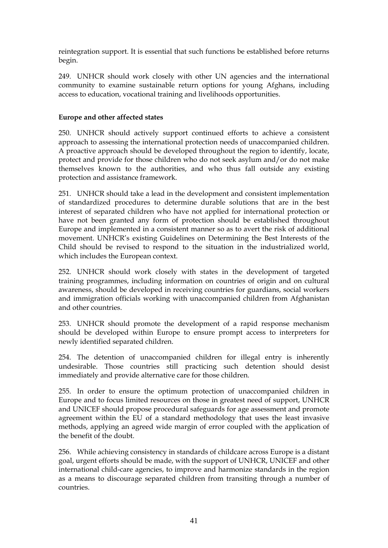reintegration support. It is essential that such functions be established before returns begin.

249. UNHCR should work closely with other UN agencies and the international community to examine sustainable return options for young Afghans, including access to education, vocational training and livelihoods opportunities.

### **Europe and other affected states**

250. UNHCR should actively support continued efforts to achieve a consistent approach to assessing the international protection needs of unaccompanied children. A proactive approach should be developed throughout the region to identify, locate, protect and provide for those children who do not seek asylum and/or do not make themselves known to the authorities, and who thus fall outside any existing protection and assistance framework.

251. UNHCR should take a lead in the development and consistent implementation of standardized procedures to determine durable solutions that are in the best interest of separated children who have not applied for international protection or have not been granted any form of protection should be established throughout Europe and implemented in a consistent manner so as to avert the risk of additional movement. UNHCR's existing Guidelines on Determining the Best Interests of the Child should be revised to respond to the situation in the industrialized world, which includes the European context.

252. UNHCR should work closely with states in the development of targeted training programmes, including information on countries of origin and on cultural awareness, should be developed in receiving countries for guardians, social workers and immigration officials working with unaccompanied children from Afghanistan and other countries.

253. UNHCR should promote the development of a rapid response mechanism should be developed within Europe to ensure prompt access to interpreters for newly identified separated children.

254. The detention of unaccompanied children for illegal entry is inherently undesirable. Those countries still practicing such detention should desist immediately and provide alternative care for those children.

255. In order to ensure the optimum protection of unaccompanied children in Europe and to focus limited resources on those in greatest need of support, UNHCR and UNICEF should propose procedural safeguards for age assessment and promote agreement within the EU of a standard methodology that uses the least invasive methods, applying an agreed wide margin of error coupled with the application of the benefit of the doubt.

256. While achieving consistency in standards of childcare across Europe is a distant goal, urgent efforts should be made, with the support of UNHCR, UNICEF and other international child-care agencies, to improve and harmonize standards in the region as a means to discourage separated children from transiting through a number of countries.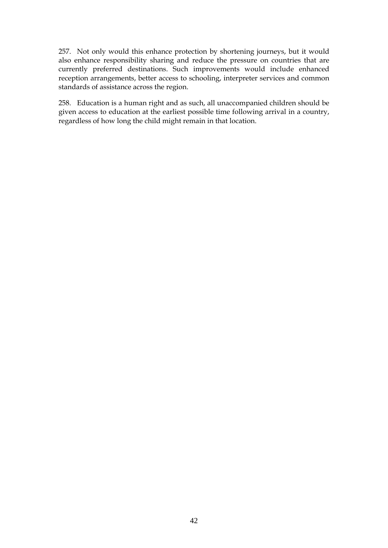257. Not only would this enhance protection by shortening journeys, but it would also enhance responsibility sharing and reduce the pressure on countries that are currently preferred destinations. Such improvements would include enhanced reception arrangements, better access to schooling, interpreter services and common standards of assistance across the region.

258. Education is a human right and as such, all unaccompanied children should be given access to education at the earliest possible time following arrival in a country, regardless of how long the child might remain in that location.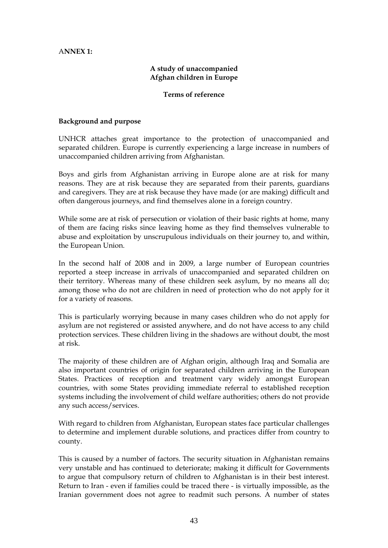## <span id="page-46-0"></span>A**NNEX 1:**

## **A study of unaccompanied Afghan children in Europe**

#### **Terms of reference**

#### **Background and purpose**

UNHCR attaches great importance to the protection of unaccompanied and separated children. Europe is currently experiencing a large increase in numbers of unaccompanied children arriving from Afghanistan.

Boys and girls from Afghanistan arriving in Europe alone are at risk for many reasons. They are at risk because they are separated from their parents, guardians and caregivers. They are at risk because they have made (or are making) difficult and often dangerous journeys, and find themselves alone in a foreign country.

While some are at risk of persecution or violation of their basic rights at home, many of them are facing risks since leaving home as they find themselves vulnerable to abuse and exploitation by unscrupulous individuals on their journey to, and within, the European Union.

In the second half of 2008 and in 2009, a large number of European countries reported a steep increase in arrivals of unaccompanied and separated children on their territory. Whereas many of these children seek asylum, by no means all do; among those who do not are children in need of protection who do not apply for it for a variety of reasons.

This is particularly worrying because in many cases children who do not apply for asylum are not registered or assisted anywhere, and do not have access to any child protection services. These children living in the shadows are without doubt, the most at risk.

The majority of these children are of Afghan origin, although Iraq and Somalia are also important countries of origin for separated children arriving in the European States. Practices of reception and treatment vary widely amongst European countries, with some States providing immediate referral to established reception systems including the involvement of child welfare authorities; others do not provide any such access/services.

With regard to children from Afghanistan, European states face particular challenges to determine and implement durable solutions, and practices differ from country to county.

This is caused by a number of factors. The security situation in Afghanistan remains very unstable and has continued to deteriorate; making it difficult for Governments to argue that compulsory return of children to Afghanistan is in their best interest. Return to Iran - even if families could be traced there - is virtually impossible, as the Iranian government does not agree to readmit such persons. A number of states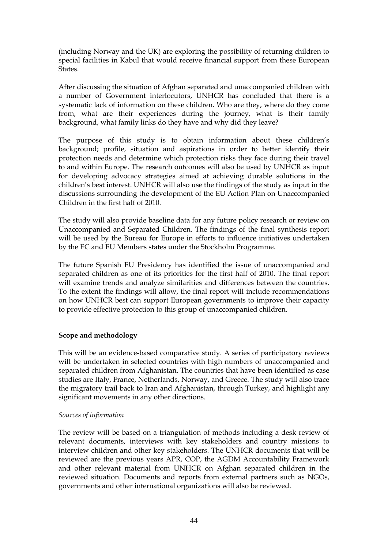(including Norway and the UK) are exploring the possibility of returning children to special facilities in Kabul that would receive financial support from these European States.

After discussing the situation of Afghan separated and unaccompanied children with a number of Government interlocutors, UNHCR has concluded that there is a systematic lack of information on these children. Who are they, where do they come from, what are their experiences during the journey, what is their family background, what family links do they have and why did they leave?

The purpose of this study is to obtain information about these children's background; profile, situation and aspirations in order to better identify their protection needs and determine which protection risks they face during their travel to and within Europe. The research outcomes will also be used by UNHCR as input for developing advocacy strategies aimed at achieving durable solutions in the children's best interest. UNHCR will also use the findings of the study as input in the discussions surrounding the development of the EU Action Plan on Unaccompanied Children in the first half of 2010.

The study will also provide baseline data for any future policy research or review on Unaccompanied and Separated Children. The findings of the final synthesis report will be used by the Bureau for Europe in efforts to influence initiatives undertaken by the EC and EU Members states under the Stockholm Programme.

The future Spanish EU Presidency has identified the issue of unaccompanied and separated children as one of its priorities for the first half of 2010. The final report will examine trends and analyze similarities and differences between the countries. To the extent the findings will allow, the final report will include recommendations on how UNHCR best can support European governments to improve their capacity to provide effective protection to this group of unaccompanied children.

### **Scope and methodology**

This will be an evidence-based comparative study. A series of participatory reviews will be undertaken in selected countries with high numbers of unaccompanied and separated children from Afghanistan. The countries that have been identified as case studies are Italy, France, Netherlands, Norway, and Greece. The study will also trace the migratory trail back to Iran and Afghanistan, through Turkey, and highlight any significant movements in any other directions.

### *Sources of information*

The review will be based on a triangulation of methods including a desk review of relevant documents, interviews with key stakeholders and country missions to interview children and other key stakeholders. The UNHCR documents that will be reviewed are the previous years APR, COP, the AGDM Accountability Framework and other relevant material from UNHCR on Afghan separated children in the reviewed situation. Documents and reports from external partners such as NGOs, governments and other international organizations will also be reviewed.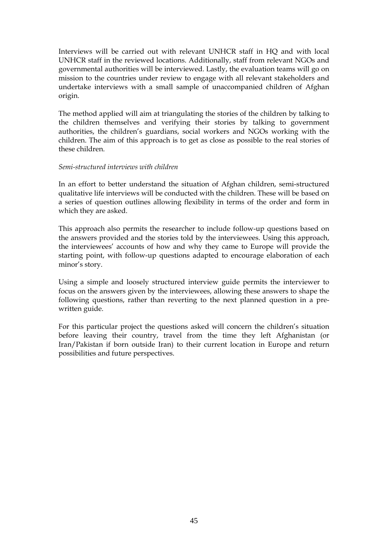Interviews will be carried out with relevant UNHCR staff in HQ and with local UNHCR staff in the reviewed locations. Additionally, staff from relevant NGOs and governmental authorities will be interviewed. Lastly, the evaluation teams will go on mission to the countries under review to engage with all relevant stakeholders and undertake interviews with a small sample of unaccompanied children of Afghan origin.

The method applied will aim at triangulating the stories of the children by talking to the children themselves and verifying their stories by talking to government authorities, the children's guardians, social workers and NGOs working with the children. The aim of this approach is to get as close as possible to the real stories of these children.

#### *Semi-structured interviews with children*

In an effort to better understand the situation of Afghan children, semi-structured qualitative life interviews will be conducted with the children. These will be based on a series of question outlines allowing flexibility in terms of the order and form in which they are asked.

This approach also permits the researcher to include follow-up questions based on the answers provided and the stories told by the interviewees. Using this approach, the interviewees' accounts of how and why they came to Europe will provide the starting point, with follow-up questions adapted to encourage elaboration of each minor's story.

Using a simple and loosely structured interview guide permits the interviewer to focus on the answers given by the interviewees, allowing these answers to shape the following questions, rather than reverting to the next planned question in a prewritten guide.

For this particular project the questions asked will concern the children's situation before leaving their country, travel from the time they left Afghanistan (or Iran/Pakistan if born outside Iran) to their current location in Europe and return possibilities and future perspectives.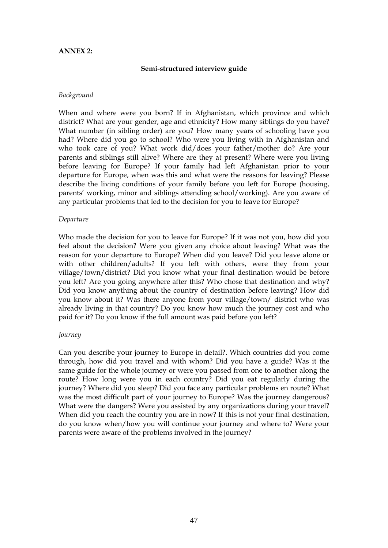#### <span id="page-50-0"></span>**ANNEX 2:**

#### **Semi-structured interview guide**

#### *Background*

When and where were you born? If in Afghanistan, which province and which district? What are your gender, age and ethnicity? How many siblings do you have? What number (in sibling order) are you? How many years of schooling have you had? Where did you go to school? Who were you living with in Afghanistan and who took care of you? What work did/does your father/mother do? Are your parents and siblings still alive? Where are they at present? Where were you living before leaving for Europe? If your family had left Afghanistan prior to your departure for Europe, when was this and what were the reasons for leaving? Please describe the living conditions of your family before you left for Europe (housing, parents' working, minor and siblings attending school/working). Are you aware of any particular problems that led to the decision for you to leave for Europe?

#### *Departure*

Who made the decision for you to leave for Europe? If it was not you, how did you feel about the decision? Were you given any choice about leaving? What was the reason for your departure to Europe? When did you leave? Did you leave alone or with other children/adults? If you left with others, were they from your village/town/district? Did you know what your final destination would be before you left? Are you going anywhere after this? Who chose that destination and why? Did you know anything about the country of destination before leaving? How did you know about it? Was there anyone from your village/town/ district who was already living in that country? Do you know how much the journey cost and who paid for it? Do you know if the full amount was paid before you left?

#### *Journey*

Can you describe your journey to Europe in detail?. Which countries did you come through, how did you travel and with whom? Did you have a guide? Was it the same guide for the whole journey or were you passed from one to another along the route? How long were you in each country? Did you eat regularly during the journey? Where did you sleep? Did you face any particular problems en route? What was the most difficult part of your journey to Europe? Was the journey dangerous? What were the dangers? Were you assisted by any organizations during your travel? When did you reach the country you are in now? If this is not your final destination, do you know when/how you will continue your journey and where to? Were your parents were aware of the problems involved in the journey?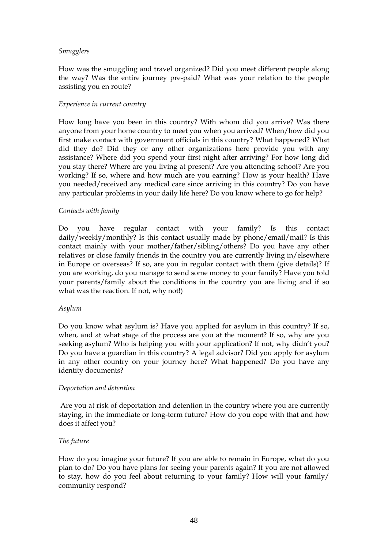#### *Smugglers*

How was the smuggling and travel organized? Did you meet different people along the way? Was the entire journey pre-paid? What was your relation to the people assisting you en route?

#### *Experience in current country*

How long have you been in this country? With whom did you arrive? Was there anyone from your home country to meet you when you arrived? When/how did you first make contact with government officials in this country? What happened? What did they do? Did they or any other organizations here provide you with any assistance? Where did you spend your first night after arriving? For how long did you stay there? Where are you living at present? Are you attending school? Are you working? If so, where and how much are you earning? How is your health? Have you needed/received any medical care since arriving in this country? Do you have any particular problems in your daily life here? Do you know where to go for help?

### *Contacts with family*

Do you have regular contact with your family? Is this contact daily/weekly/monthly? Is this contact usually made by phone/email/mail? Is this contact mainly with your mother/father/sibling/others? Do you have any other relatives or close family friends in the country you are currently living in/elsewhere in Europe or overseas? If so, are you in regular contact with them (give details)? If you are working, do you manage to send some money to your family? Have you told your parents/family about the conditions in the country you are living and if so what was the reaction. If not, why not!)

### *Asylum*

Do you know what asylum is? Have you applied for asylum in this country? If so, when, and at what stage of the process are you at the moment? If so, why are you seeking asylum? Who is helping you with your application? If not, why didn't you? Do you have a guardian in this country? A legal advisor? Did you apply for asylum in any other country on your journey here? What happened? Do you have any identity documents?

### *Deportation and detention*

 Are you at risk of deportation and detention in the country where you are currently staying, in the immediate or long-term future? How do you cope with that and how does it affect you?

### *The future*

How do you imagine your future? If you are able to remain in Europe, what do you plan to do? Do you have plans for seeing your parents again? If you are not allowed to stay, how do you feel about returning to your family? How will your family/ community respond?